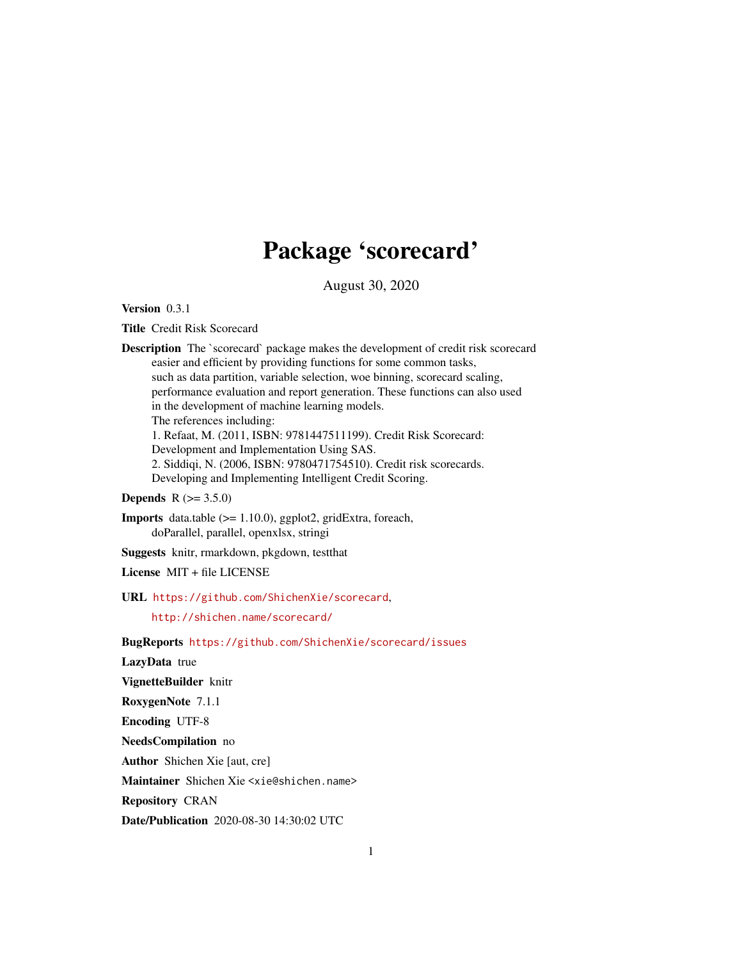# Package 'scorecard'

August 30, 2020

Version 0.3.1

Title Credit Risk Scorecard

Description The `scorecard` package makes the development of credit risk scorecard easier and efficient by providing functions for some common tasks, such as data partition, variable selection, woe binning, scorecard scaling, performance evaluation and report generation. These functions can also used in the development of machine learning models. The references including: 1. Refaat, M. (2011, ISBN: 9781447511199). Credit Risk Scorecard: Development and Implementation Using SAS. 2. Siddiqi, N. (2006, ISBN: 9780471754510). Credit risk scorecards. Developing and Implementing Intelligent Credit Scoring.

**Depends**  $R (= 3.5.0)$ 

Imports data.table (>= 1.10.0), ggplot2, gridExtra, foreach, doParallel, parallel, openxlsx, stringi

Suggests knitr, rmarkdown, pkgdown, testthat

License MIT + file LICENSE

URL <https://github.com/ShichenXie/scorecard>,

<http://shichen.name/scorecard/>

BugReports <https://github.com/ShichenXie/scorecard/issues>

LazyData true

VignetteBuilder knitr

RoxygenNote 7.1.1

Encoding UTF-8

NeedsCompilation no

Author Shichen Xie [aut, cre]

Maintainer Shichen Xie <xie@shichen.name>

Repository CRAN

Date/Publication 2020-08-30 14:30:02 UTC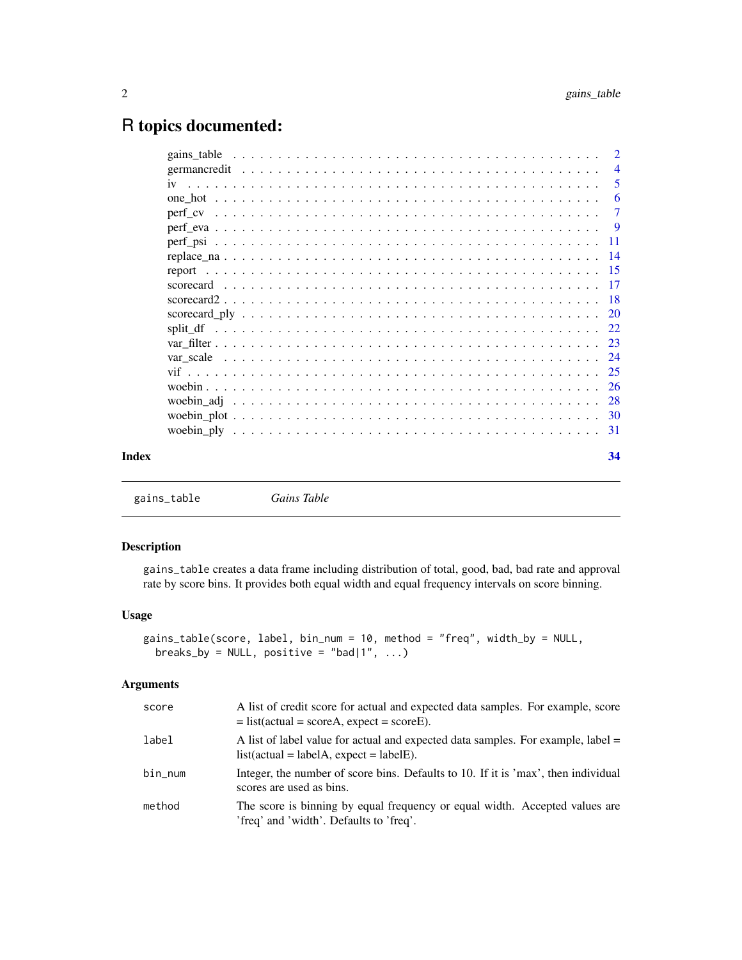# <span id="page-1-0"></span>R topics documented:

| Index | 34             |
|-------|----------------|
|       |                |
|       |                |
|       |                |
|       |                |
|       |                |
|       |                |
|       |                |
|       |                |
|       |                |
|       |                |
|       |                |
|       |                |
|       |                |
|       |                |
|       |                |
|       | $\overline{7}$ |
|       | 6              |
|       | -5             |
|       | $\overline{4}$ |

<span id="page-1-1"></span>gains\_table *Gains Table*

# Description

gains\_table creates a data frame including distribution of total, good, bad, bad rate and approval rate by score bins. It provides both equal width and equal frequency intervals on score binning.

# Usage

```
gains_table(score, label, bin_num = 10, method = "freq", width_by = NULL,
 breaks_by = NULL, positive = "bad|1", ...)
```
## Arguments

| score   | A list of credit score for actual and expected data samples. For example, score<br>$=$ list(actual = scoreA, expect = scoreE). |
|---------|--------------------------------------------------------------------------------------------------------------------------------|
| label   | A list of label value for actual and expected data samples. For example, label =<br>$list(actual = labelA, expect = labelE).$  |
| bin_num | Integer, the number of score bins. Defaults to 10. If it is 'max', then individual<br>scores are used as bins.                 |
| method  | The score is binning by equal frequency or equal width. Accepted values are<br>'freq' and 'width'. Defaults to 'freq'.         |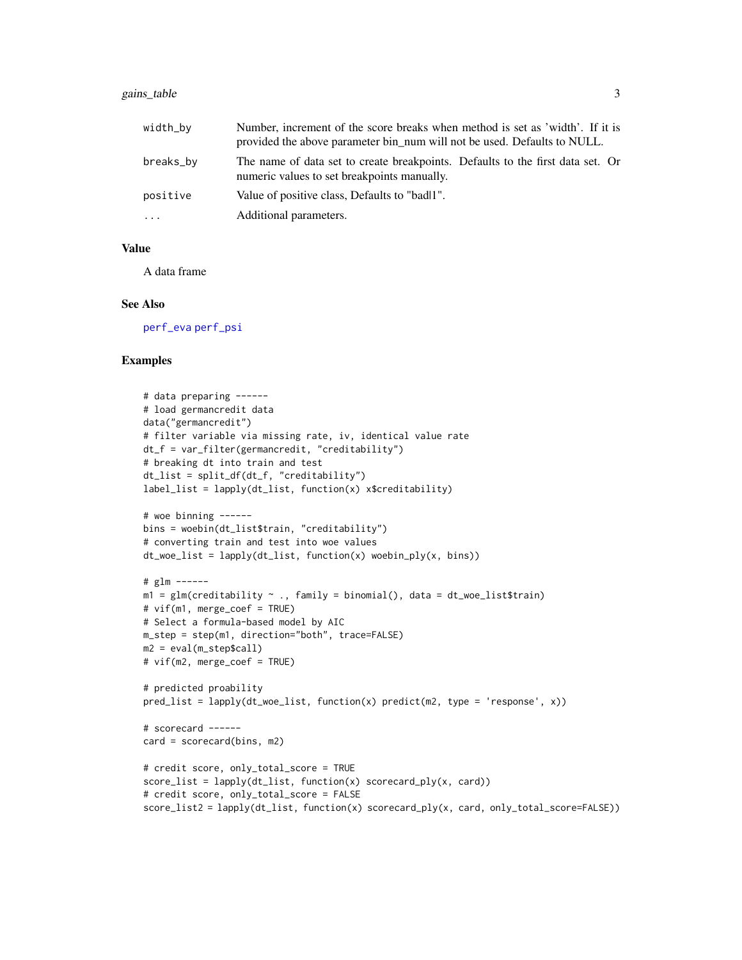# <span id="page-2-0"></span>gains\_table 3

| width_by  | Number, increment of the score breaks when method is set as 'width'. If it is<br>provided the above parameter bin_num will not be used. Defaults to NULL. |  |
|-----------|-----------------------------------------------------------------------------------------------------------------------------------------------------------|--|
| breaks_by | The name of data set to create breakpoints. Defaults to the first data set. Or<br>numeric values to set breakpoints manually.                             |  |
| positive  | Value of positive class, Defaults to "badl1".                                                                                                             |  |
| $\cdots$  | Additional parameters.                                                                                                                                    |  |

#### Value

A data frame

#### See Also

[perf\\_eva](#page-8-1) [perf\\_psi](#page-10-1)

```
# data preparing ------
# load germancredit data
data("germancredit")
# filter variable via missing rate, iv, identical value rate
dt_f = var_filter(germancredit, "creditability")
# breaking dt into train and test
dt_list = split_df(dt_f, "creditability")
label_list = lapply(dt_list, function(x) x$creditability)
# woe binning ------
bins = woebin(dt_list$train, "creditability")
# converting train and test into woe values
dt_woe_list = lapply(dt_list, function(x) woebin_ply(x, bins))
# glm ------
m1 = glm(creditability ~ . , family = binomial(), data = dt_woe_list$train)# vif(m1, merge_coef = TRUE)
# Select a formula-based model by AIC
m_step = step(m1, direction="both", trace=FALSE)
m2 = eval(m_step$call)
# vif(m2, merge_coef = TRUE)
# predicted proability
pred\_list = \text{lapply}(dt\_wo\_list, function(x) predict(m2, type = 'response', x))# scorecard ------
card = scorecard(bins, m2)
# credit score, only_total_score = TRUE
score\_list = \text{lapply}(dt\_list, function(x) scorecard\_ply(x, card))# credit score, only_total_score = FALSE
score_list2 = lapply(dt_list, function(x) scorecard_ply(x, card, only_total_score=FALSE))
```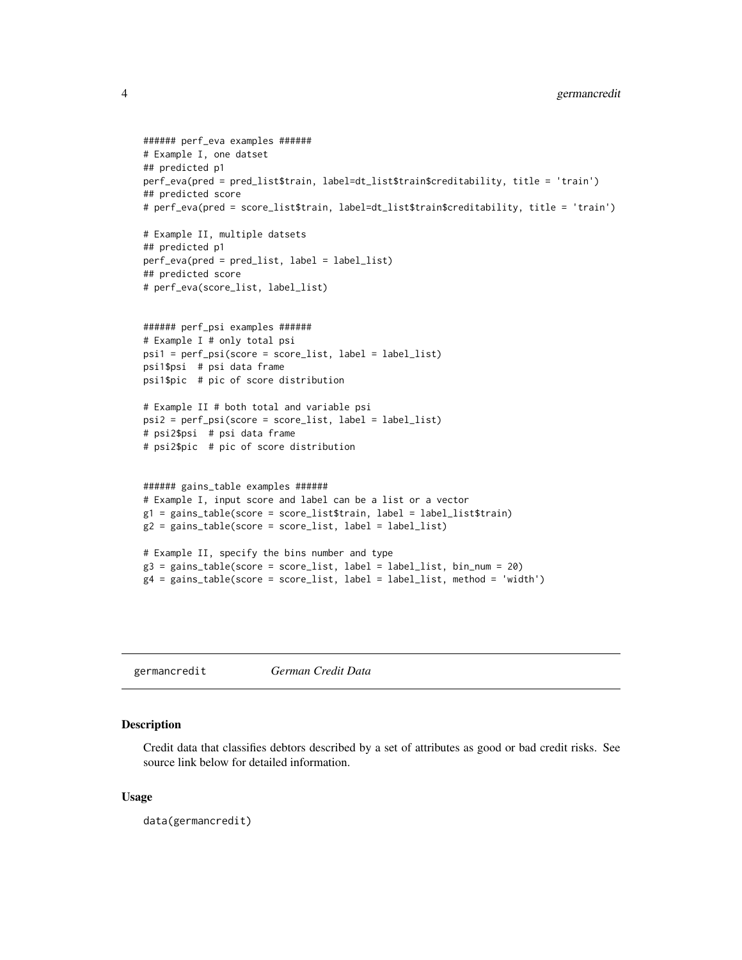```
###### perf_eva examples ######
# Example I, one datset
## predicted p1
perf_eva(pred = pred_list$train, label=dt_list$train$creditability, title = 'train')
## predicted score
# perf_eva(pred = score_list$train, label=dt_list$train$creditability, title = 'train')
# Example II, multiple datsets
## predicted p1
perf_eva(pred = pred_list, label = label_list)
## predicted score
# perf_eva(score_list, label_list)
###### perf_psi examples ######
# Example I # only total psi
psi1 = perf_psi(score = score_list, label = label_list)
psi1$psi # psi data frame
psi1$pic # pic of score distribution
# Example II # both total and variable psi
psi2 = perf_psi(score = score_list, label = label_list)
# psi2$psi # psi data frame
# psi2$pic # pic of score distribution
###### gains_table examples ######
# Example I, input score and label can be a list or a vector
g1 = gains_table(score = score_list$train, label = label_list$train)
g2 = gains_table(score = score_list, label = label_list)
# Example II, specify the bins number and type
g3 = gains_table(score = score_list, label = label_list, bin_number = 20)g4 = gains_table(score = score_list, label = label_list, method = 'width')
```
germancredit *German Credit Data*

#### Description

Credit data that classifies debtors described by a set of attributes as good or bad credit risks. See source link below for detailed information.

#### Usage

data(germancredit)

<span id="page-3-0"></span>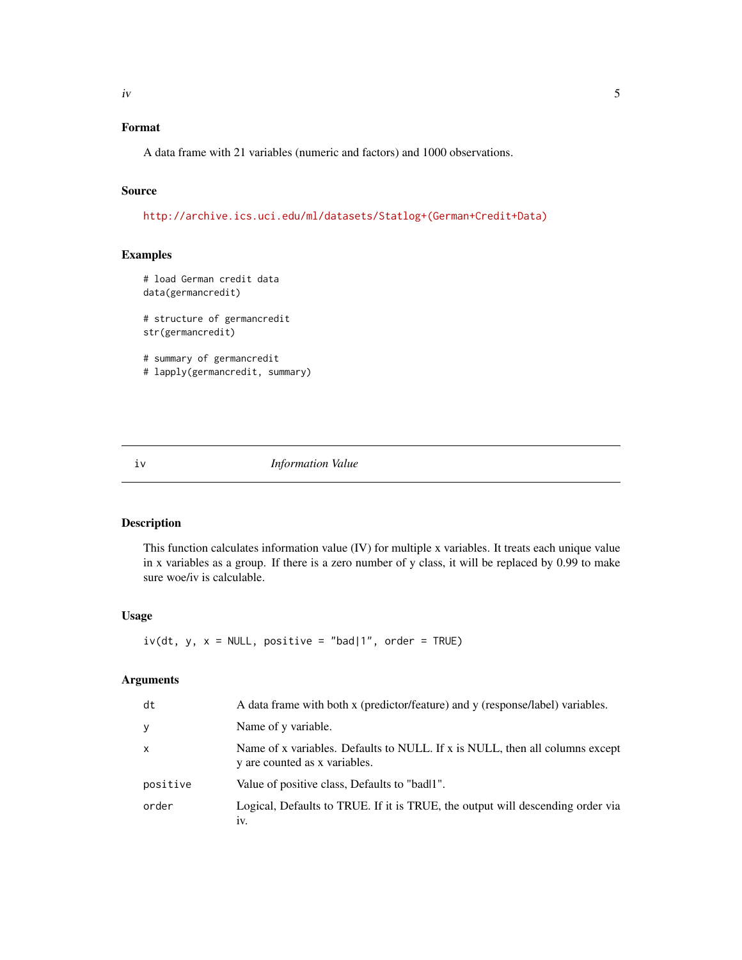# <span id="page-4-0"></span>Format

A data frame with 21 variables (numeric and factors) and 1000 observations.

#### Source

[http://archive.ics.uci.edu/ml/datasets/Statlog+\(German+Credit+Data\)](http://archive.ics.uci.edu/ml/datasets/Statlog+(German+Credit+Data))

# Examples

```
# load German credit data
data(germancredit)
# structure of germancredit
str(germancredit)
# summary of germancredit
# lapply(germancredit, summary)
```
iv *Information Value*

# Description

This function calculates information value (IV) for multiple x variables. It treats each unique value in x variables as a group. If there is a zero number of y class, it will be replaced by 0.99 to make sure woe/iv is calculable.

# Usage

 $iv(dt, y, x = NULL, positive = "bad|1", order = TRUE)$ 

# Arguments

| dt           | A data frame with both x (predictor/feature) and y (response/label) variables.                                |
|--------------|---------------------------------------------------------------------------------------------------------------|
| y            | Name of y variable.                                                                                           |
| $\mathsf{x}$ | Name of x variables. Defaults to NULL. If x is NULL, then all columns except<br>y are counted as x variables. |
| positive     | Value of positive class, Defaults to "badl1".                                                                 |
| order        | Logical, Defaults to TRUE. If it is TRUE, the output will descending order via<br>1V.                         |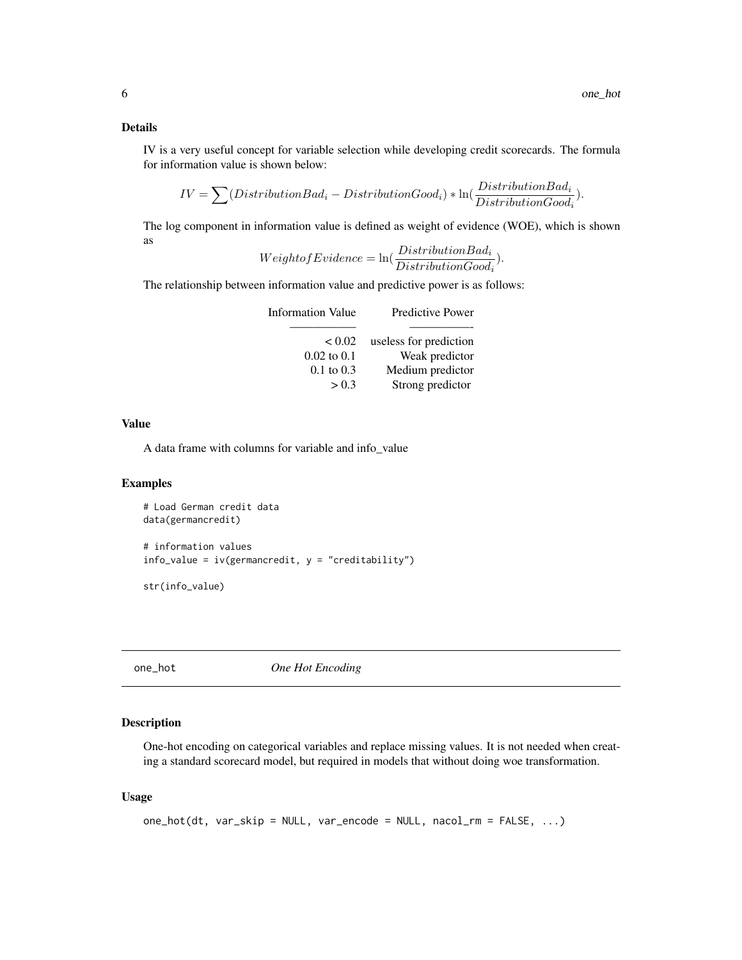## <span id="page-5-0"></span>Details

IV is a very useful concept for variable selection while developing credit scorecards. The formula for information value is shown below:

$$
IV = \sum (DistributionBad_i - DistributionGood_i) * \ln(\frac{DistributionBad_i}{DistributionGood_i}).
$$

The log component in information value is defined as weight of evidence (WOE), which is shown as

$$
Weight of Evidence = \ln(\frac{DistributionBad_i}{DistributionGood_i}).
$$

The relationship between information value and predictive power is as follows:

| Information Value     | <b>Predictive Power</b> |
|-----------------------|-------------------------|
| < 0.02                | useless for prediction  |
| $0.02$ to $0.1$       | Weak predictor          |
| $0.1 \text{ to } 0.3$ | Medium predictor        |
| > 0.3                 | Strong predictor        |

# Value

A data frame with columns for variable and info\_value

#### Examples

```
# Load German credit data
data(germancredit)
# information values
info_value = iv(germancredit, y = "creditability")str(info_value)
```
one\_hot *One Hot Encoding*

# Description

One-hot encoding on categorical variables and replace missing values. It is not needed when creating a standard scorecard model, but required in models that without doing woe transformation.

#### Usage

```
one_hot(dt, var_skip = NULL, var_encode = NULL, nacol_rm = FALSE, ...)
```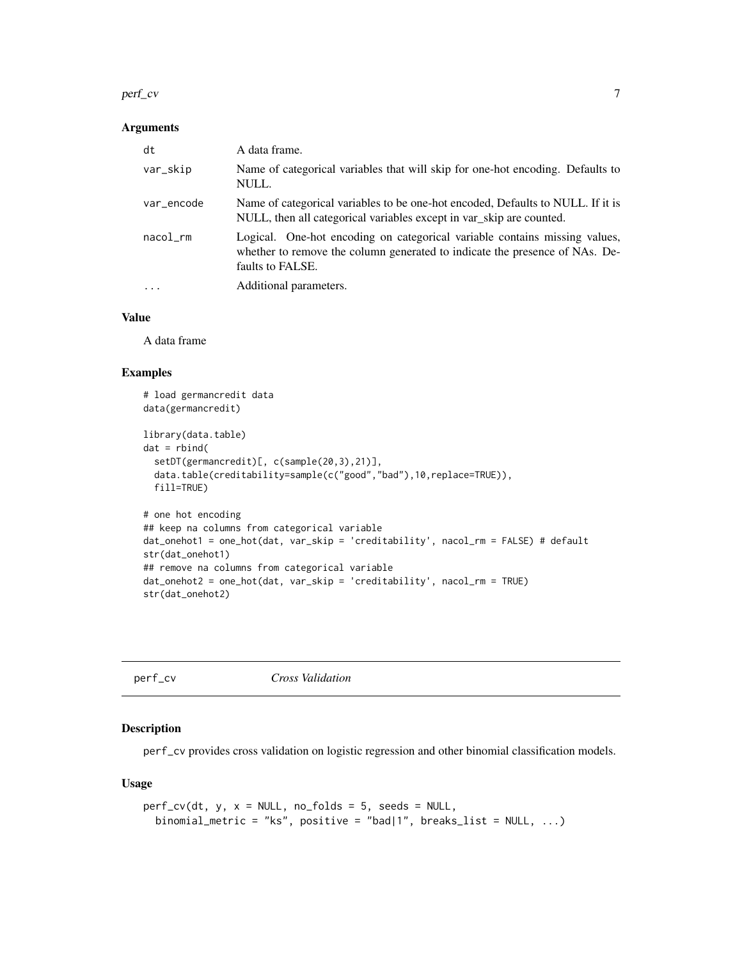#### <span id="page-6-0"></span>perf\_cv 7

#### Arguments

| dt         | A data frame.                                                                                                                                                                 |
|------------|-------------------------------------------------------------------------------------------------------------------------------------------------------------------------------|
| var_skip   | Name of categorical variables that will skip for one-hot encoding. Defaults to<br>NULL.                                                                                       |
| var_encode | Name of categorical variables to be one-hot encoded, Defaults to NULL. If it is<br>NULL, then all categorical variables except in var_skip are counted.                       |
| nacol      | Logical. One-hot encoding on categorical variable contains missing values,<br>whether to remove the column generated to indicate the presence of NAs. De-<br>faults to FALSE. |
| $\cdot$    | Additional parameters.                                                                                                                                                        |

# Value

A data frame

# Examples

```
# load germancredit data
data(germancredit)
library(data.table)
dat = rbind(setDT(germancredit)[, c(sample(20,3),21)],
  data.table(creditability=sample(c("good","bad"),10,replace=TRUE)),
  fill=TRUE)
# one hot encoding
## keep na columns from categorical variable
dat_onehot1 = one_hot(dat, var_skip = 'creditability', nacol_rm = FALSE) # default
str(dat_onehot1)
## remove na columns from categorical variable
dat_onehot2 = one_hot(dat, var_skip = 'creditability', nacol_rm = TRUE)
str(dat_onehot2)
```

|  | ∼ |  |  |  |
|--|---|--|--|--|
|  |   |  |  |  |

# perf\_cv *Cross Validation*

#### Description

perf\_cv provides cross validation on logistic regression and other binomial classification models.

#### Usage

```
perf\_cv(dt, y, x = NULL, no_folds = 5, seeds = NULL,binomial_metric = "ks", positive = "bad|1", breaks_list = NULL, ...)
```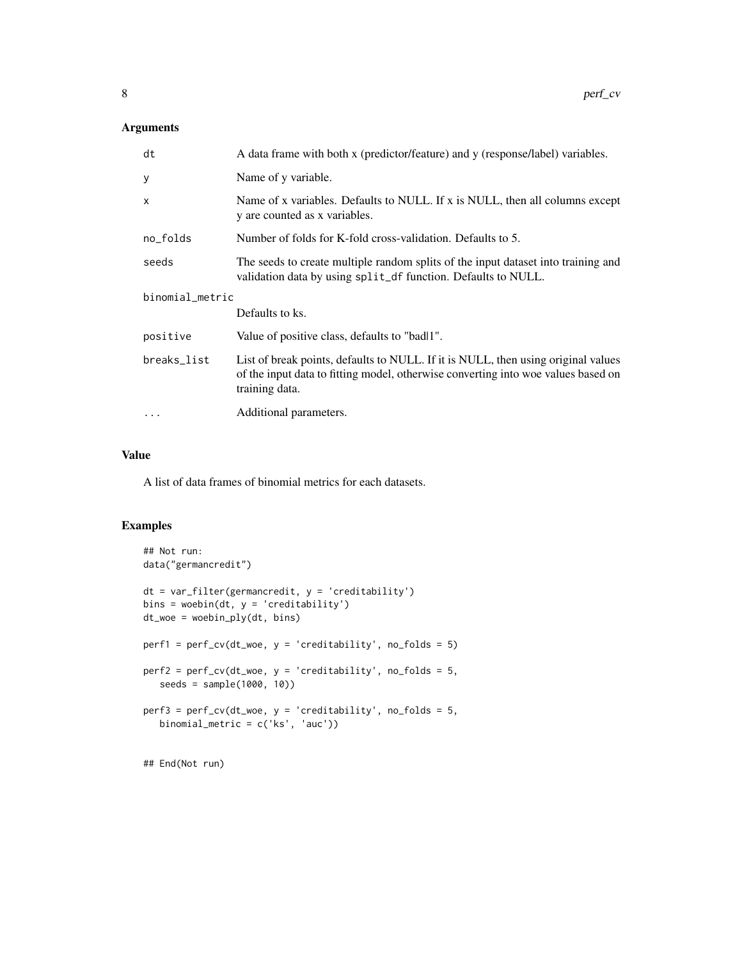# Arguments

| dt              | A data frame with both x (predictor/feature) and y (response/label) variables.                                                                                                           |  |  |
|-----------------|------------------------------------------------------------------------------------------------------------------------------------------------------------------------------------------|--|--|
| У               | Name of y variable.                                                                                                                                                                      |  |  |
| X               | Name of x variables. Defaults to NULL. If x is NULL, then all columns except<br>y are counted as x variables.                                                                            |  |  |
| no_folds        | Number of folds for K-fold cross-validation. Defaults to 5.                                                                                                                              |  |  |
| seeds           | The seeds to create multiple random splits of the input dataset into training and<br>validation data by using split_df function. Defaults to NULL.                                       |  |  |
| binomial_metric |                                                                                                                                                                                          |  |  |
|                 | Defaults to ks.                                                                                                                                                                          |  |  |
| positive        | Value of positive class, defaults to "badl1".                                                                                                                                            |  |  |
| breaks_list     | List of break points, defaults to NULL. If it is NULL, then using original values<br>of the input data to fitting model, otherwise converting into woe values based on<br>training data. |  |  |
| $\ddotsc$       | Additional parameters.                                                                                                                                                                   |  |  |

# Value

A list of data frames of binomial metrics for each datasets.

### Examples

```
## Not run:
data("germancredit")
dt = var_filter(germancredit, y = 'creditability')
bins = woebin(dt, y = 'creditability')
dt_woe = woebin_ply(dt, bins)
perf1 = perf_c v(dt_woe, y = 'creditability', no_folds = 5)perf2 = perf_cv(dt_woe, y = 'creditability', no_folds = 5,
  seeds = sample(1000, 10))
perf3 = perf_cv(dt_woe, y = 'creditability', no_folds = 5,
  binomial_metric = c('ks', 'auc'))
```
## End(Not run)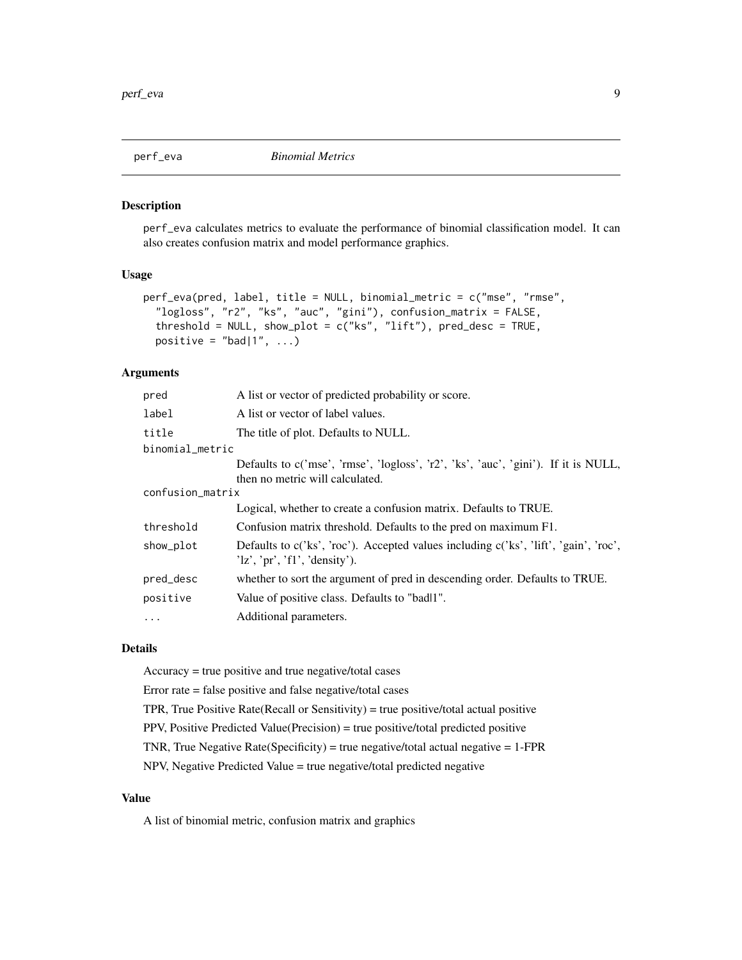<span id="page-8-1"></span><span id="page-8-0"></span>

#### Description

perf\_eva calculates metrics to evaluate the performance of binomial classification model. It can also creates confusion matrix and model performance graphics.

#### Usage

```
perf_eva(pred, label, title = NULL, binomial_metric = c("mse", "rmse",
  "logloss", "r2", "ks", "auc", "gini"), confusion_matrix = FALSE,
  threshold = NULL, show_plot = c("ks", "lift"), pred\_desc = TRUE,positive = "bad|1", ...)
```
# Arguments

| pred             | A list or vector of predicted probability or score.                                                                          |  |  |
|------------------|------------------------------------------------------------------------------------------------------------------------------|--|--|
| label            | A list or vector of label values.                                                                                            |  |  |
| title            | The title of plot. Defaults to NULL.                                                                                         |  |  |
| binomial_metric  |                                                                                                                              |  |  |
|                  | Defaults to c('mse', 'rmse', 'logloss', 'r2', 'ks', 'auc', 'gini'). If it is NULL,<br>then no metric will calculated.        |  |  |
| confusion_matrix |                                                                                                                              |  |  |
|                  | Logical, whether to create a confusion matrix. Defaults to TRUE.                                                             |  |  |
| threshold        | Confusion matrix threshold. Defaults to the pred on maximum F1.                                                              |  |  |
| show_plot        | Defaults to $c('ks', 'roc')$ . Accepted values including $c('ks', 'lift', 'gain', 'roc', )$<br>'lz', 'pr', 'fl', 'density'). |  |  |
| pred_desc        | whether to sort the argument of pred in descending order. Defaults to TRUE.                                                  |  |  |
| positive         | Value of positive class. Defaults to "badl1".                                                                                |  |  |
| $\cdots$         | Additional parameters.                                                                                                       |  |  |
|                  |                                                                                                                              |  |  |

# Details

Accuracy = true positive and true negative/total cases

Error rate = false positive and false negative/total cases

TPR, True Positive Rate(Recall or Sensitivity) = true positive/total actual positive

PPV, Positive Predicted Value(Precision) = true positive/total predicted positive

TNR, True Negative Rate(Specificity) = true negative/total actual negative =  $1$ -FPR

NPV, Negative Predicted Value = true negative/total predicted negative

# Value

A list of binomial metric, confusion matrix and graphics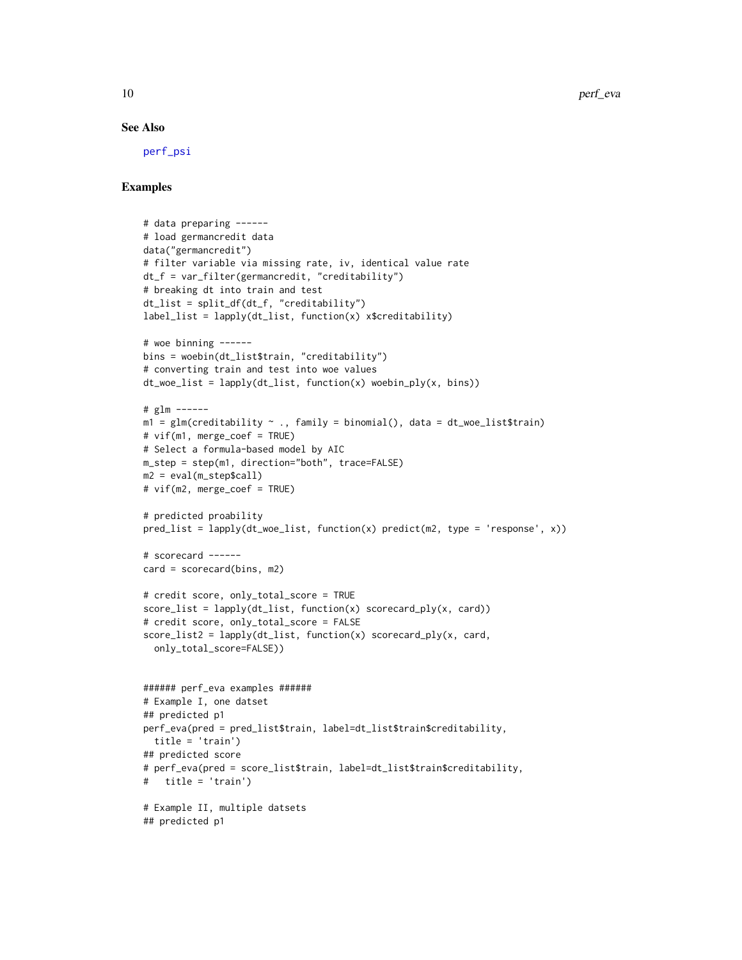#### See Also

[perf\\_psi](#page-10-1)

```
# data preparing ------
# load germancredit data
data("germancredit")
# filter variable via missing rate, iv, identical value rate
dt_f = var_filter(germancredit, "creditability")
# breaking dt into train and test
dt_list = split_df(dt_f, "creditability")
label_list = lapply(dt_list, function(x) x$creditability)
# woe binning ------
bins = woebin(dt_list$train, "creditability")
# converting train and test into woe values
dt_woe_list = lapply(dt_list, function(x) woebin_ply(x, bins))
# glm ------
m1 = glm(creditability ~ ., family = binomial(), data = dt_woe_list$train)# vif(m1, merge_coef = TRUE)
# Select a formula-based model by AIC
m_step = step(m1, direction="both", trace=FALSE)
m2 = eval(m_step$call)
# vif(m2, merge_coef = TRUE)
# predicted proability
pred_list = lapply(dt_woe_list, function(x) predict(m2, type = 'response', x))
# scorecard ------
card = scorecard(bins, m2)
# credit score, only_total_score = TRUE
score_list = lapply(dt_list, function(x) scorecard_ply(x, card))
# credit score, only_total_score = FALSE
score_list2 = lapply(dt_list, function(x) scorecard_ply(x, card,
  only_total_score=FALSE))
###### perf_eva examples ######
# Example I, one datset
## predicted p1
perf_eva(pred = pred_list$train, label=dt_list$train$creditability,
 title = 'train')
## predicted score
# perf_eva(pred = score_list$train, label=dt_list$train$creditability,
# title = 'train')
# Example II, multiple datsets
## predicted p1
```
<span id="page-9-0"></span>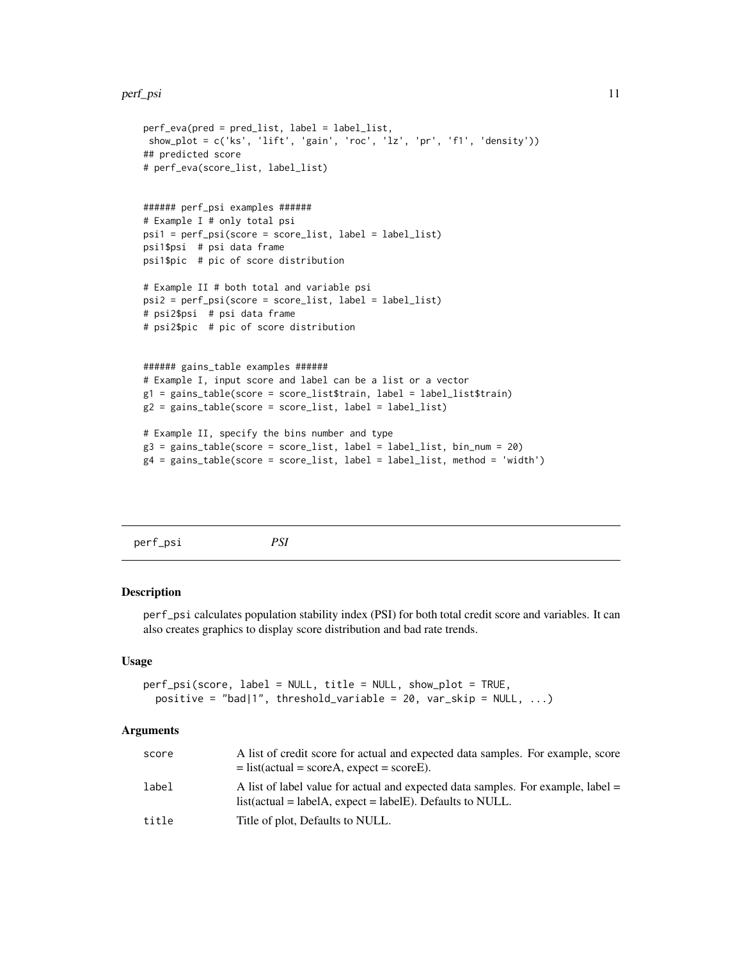#### <span id="page-10-0"></span>perf\_psi 11

```
perf_eva(pred = pred_list, label = label_list,
show_plot = c('ks', 'lift', 'gain', 'roc', 'lz', 'pr', 'f1', 'density'))
## predicted score
# perf_eva(score_list, label_list)
###### perf_psi examples ######
# Example I # only total psi
psi1 = perf_psi(score = score_list, label = label_list)
psi1$psi # psi data frame
psi1$pic # pic of score distribution
# Example II # both total and variable psi
psi2 = perf_psi(score = score_list, label = label_list)
# psi2$psi # psi data frame
# psi2$pic # pic of score distribution
###### gains_table examples ######
# Example I, input score and label can be a list or a vector
g1 = gains_table(score = score_list$train, label = label_list$train)
g2 = gains_table(score = score_list, label = label_list)
# Example II, specify the bins number and type
g3 = gains_table(score = score_list, label = label_list, bin_num = 20)
g4 = gains_table(score = score_list, label = label_list, method = 'width')
```

```
perf_psi PSI
```
# Description

perf\_psi calculates population stability index (PSI) for both total credit score and variables. It can also creates graphics to display score distribution and bad rate trends.

#### Usage

```
perf_psi(score, label = NULL, title = NULL, show_plot = TRUE,
 positive = "bad|1", threshold_variable = 20, var_skip = NULL, \ldots)
```
# Arguments

| score | A list of credit score for actual and expected data samples. For example, score<br>$=$ list(actual = scoreA, expect = scoreE).                   |
|-------|--------------------------------------------------------------------------------------------------------------------------------------------------|
| label | A list of label value for actual and expected data samples. For example, label =<br>$list(actual = labelA, expect = labelE)$ . Defaults to NULL. |
| title | Title of plot, Defaults to NULL.                                                                                                                 |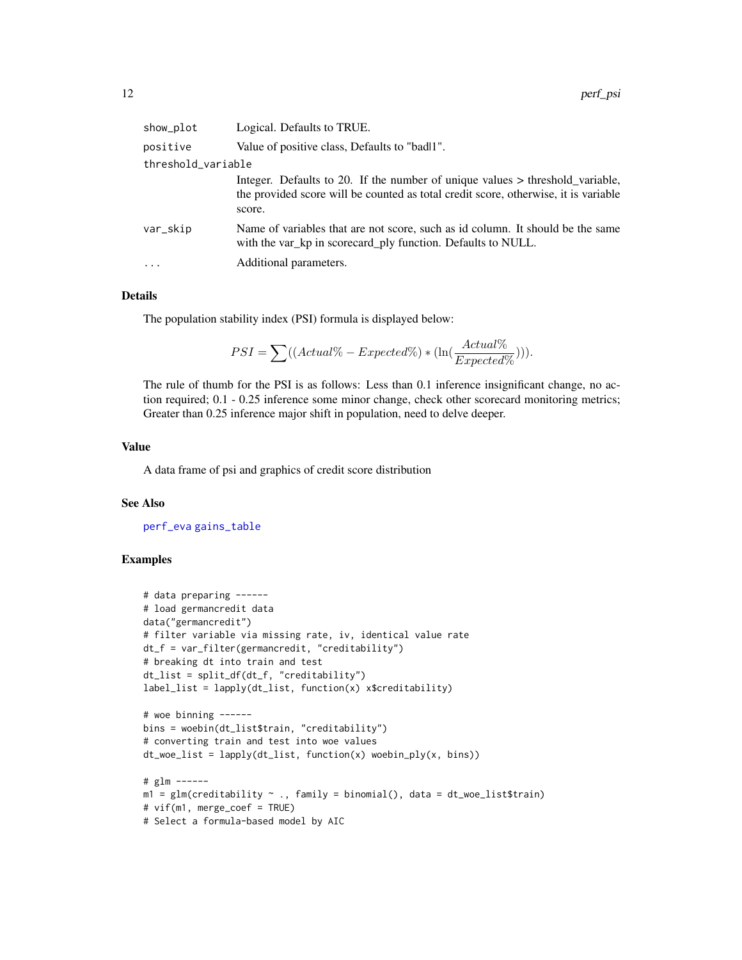<span id="page-11-0"></span>

| show_plot          | Logical. Defaults to TRUE.                                                                                                                                                       |  |  |
|--------------------|----------------------------------------------------------------------------------------------------------------------------------------------------------------------------------|--|--|
| positive           | Value of positive class, Defaults to "badl1".                                                                                                                                    |  |  |
| threshold_variable |                                                                                                                                                                                  |  |  |
|                    | Integer. Defaults to 20. If the number of unique values $>$ threshold_variable,<br>the provided score will be counted as total credit score, otherwise, it is variable<br>score. |  |  |
| var_skip           | Name of variables that are not score, such as id column. It should be the same<br>with the var_kp in scorecard_ply function. Defaults to NULL.                                   |  |  |
| $\cdot$            | Additional parameters.                                                                                                                                                           |  |  |
|                    |                                                                                                                                                                                  |  |  |

# Details

The population stability index (PSI) formula is displayed below:

$$
PSI = \sum ((Actual\% - Expected\%) * (\ln(\frac{Actual\%}{Expected\%)}))).
$$

The rule of thumb for the PSI is as follows: Less than 0.1 inference insignificant change, no action required; 0.1 - 0.25 inference some minor change, check other scorecard monitoring metrics; Greater than 0.25 inference major shift in population, need to delve deeper.

# Value

A data frame of psi and graphics of credit score distribution

### See Also

[perf\\_eva](#page-8-1) [gains\\_table](#page-1-1)

```
# data preparing ------
# load germancredit data
data("germancredit")
# filter variable via missing rate, iv, identical value rate
dt_f = var_filter(germancredit, "creditability")
# breaking dt into train and test
dt_list = split_df(dt_f, "creditability")
label_list = \text{lapply}(dt_list, function(x) x$creditability)# woe binning ------
bins = woebin(dt_list$train, "creditability")
# converting train and test into woe values
dt_woe_list = lapply(dt_list, function(x) woebin_ply(x, bins))
# glm ------
m1 = glm(creditability \sim ., family = binomial(), data = dt_woe_list$train)# vif(m1, merge_coef = TRUE)
# Select a formula-based model by AIC
```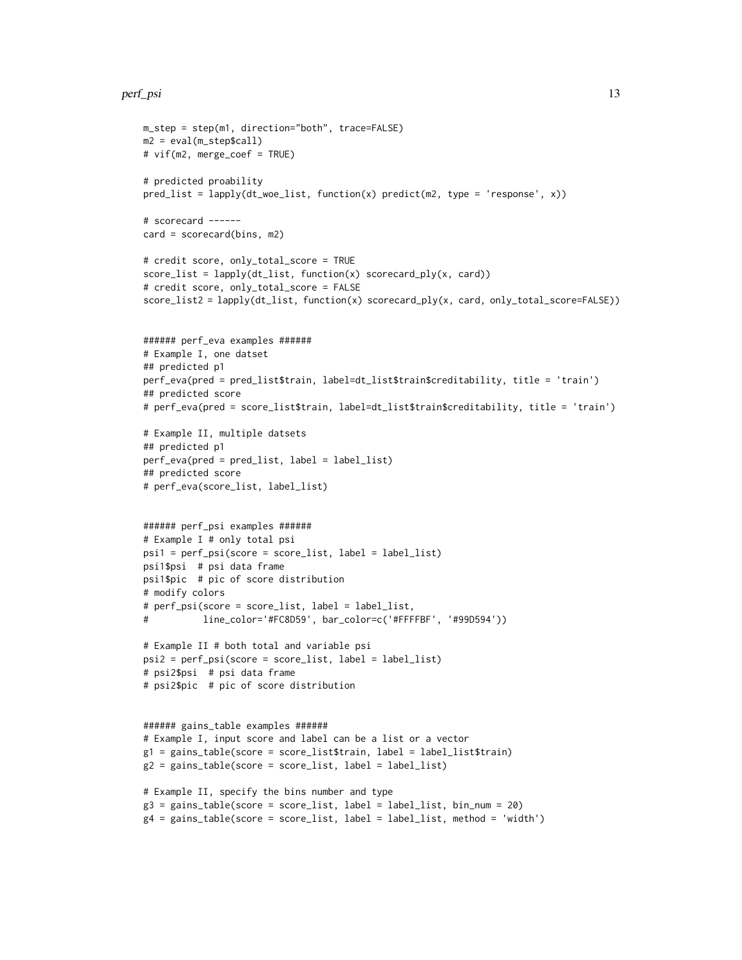#### perf\_psi 13

```
m_step = step(m1, direction="both", trace=FALSE)
m2 = eval(m_step$call)
# vif(m2, merge_coef = TRUE)
# predicted proability
pred_list = lapply(dt_woe_list, function(x) predict(m2, type = 'response', x))
# scorecard ------
card = scorecard(bins, m2)
# credit score, only_total_score = TRUE
score_list = lapply(dt_list, function(x) scorecard_ply(x, card))
# credit score, only_total_score = FALSE
score_list2 = lapply(dt_list, function(x) scorecard_ply(x, card, only_total_score=FALSE))
###### perf_eva examples ######
# Example I, one datset
## predicted p1
perf_eva(pred = pred_list$train, label=dt_list$train$creditability, title = 'train')
## predicted score
# perf_eva(pred = score_list$train, label=dt_list$train$creditability, title = 'train')
# Example II, multiple datsets
## predicted p1
perf_eva(pred = pred_list, label = label_list)
## predicted score
# perf_eva(score_list, label_list)
###### perf_psi examples ######
# Example I # only total psi
psi1 = perf_psi(score = score_list, label = label_list)
psi1$psi # psi data frame
psi1$pic # pic of score distribution
# modify colors
# perf_psi(score = score_list, label = label_list,
# line_color='#FC8D59', bar_color=c('#FFFFBF', '#99D594'))
# Example II # both total and variable psi
psi2 = perf_psi(score = score_list, label = label_list)
# psi2$psi # psi data frame
# psi2$pic # pic of score distribution
###### gains_table examples ######
# Example I, input score and label can be a list or a vector
g1 = gains_table(score = score_list$train, label = label_list$train)
g2 = gains_table(score = score_list, label = label_list)
# Example II, specify the bins number and type
g3 = gains_table(score = score_list, label = label_list, bin_num = 20)
g4 = gains_table(score = score_list, label = label_list, method = 'width')
```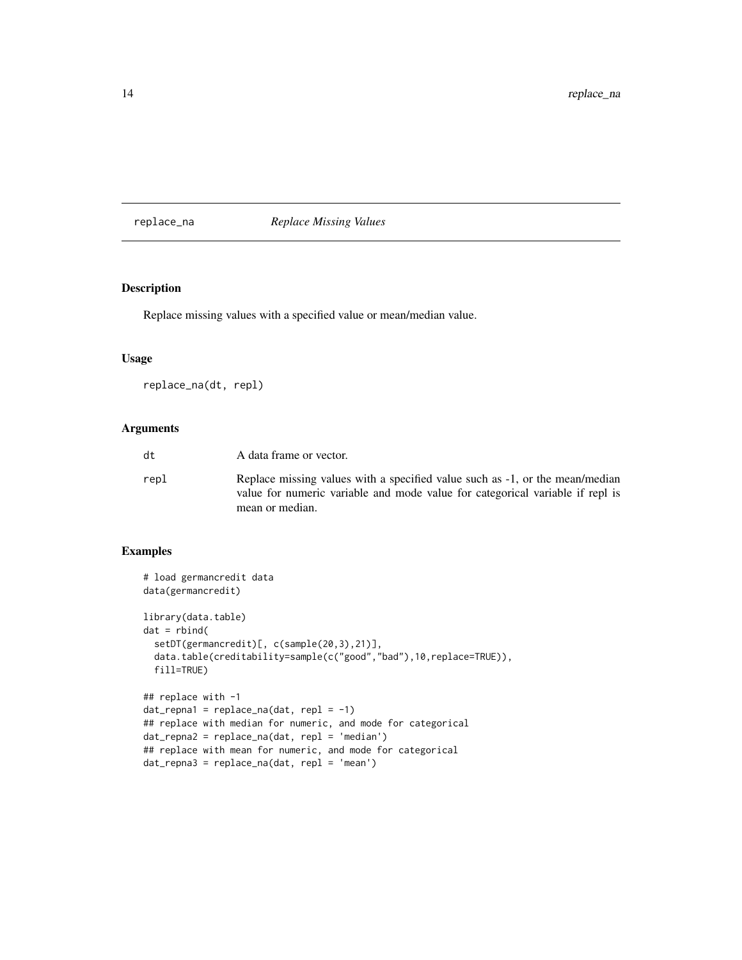<span id="page-13-0"></span>replace\_na *Replace Missing Values*

# Description

Replace missing values with a specified value or mean/median value.

# Usage

replace\_na(dt, repl)

# Arguments

| A data frame or vector.                                                                                                                                                          |
|----------------------------------------------------------------------------------------------------------------------------------------------------------------------------------|
| Replace missing values with a specified value such as -1, or the mean/median<br>value for numeric variable and mode value for categorical variable if repl is<br>mean or median. |
|                                                                                                                                                                                  |

```
# load germancredit data
data(germancredit)
library(data.table)
dat = rbind(setDT(germancredit)[, c(sample(20,3),21)],
  data.table(creditability=sample(c("good","bad"),10,replace=TRUE)),
  fill=TRUE)
## replace with -1
dat_{repna1} = replace_na(dat, repl = -1)
## replace with median for numeric, and mode for categorical
dat_repna2 = replace_na(dat, repl = 'median')
## replace with mean for numeric, and mode for categorical
dat_repna3 = replace_na(dat, repl = 'mean')
```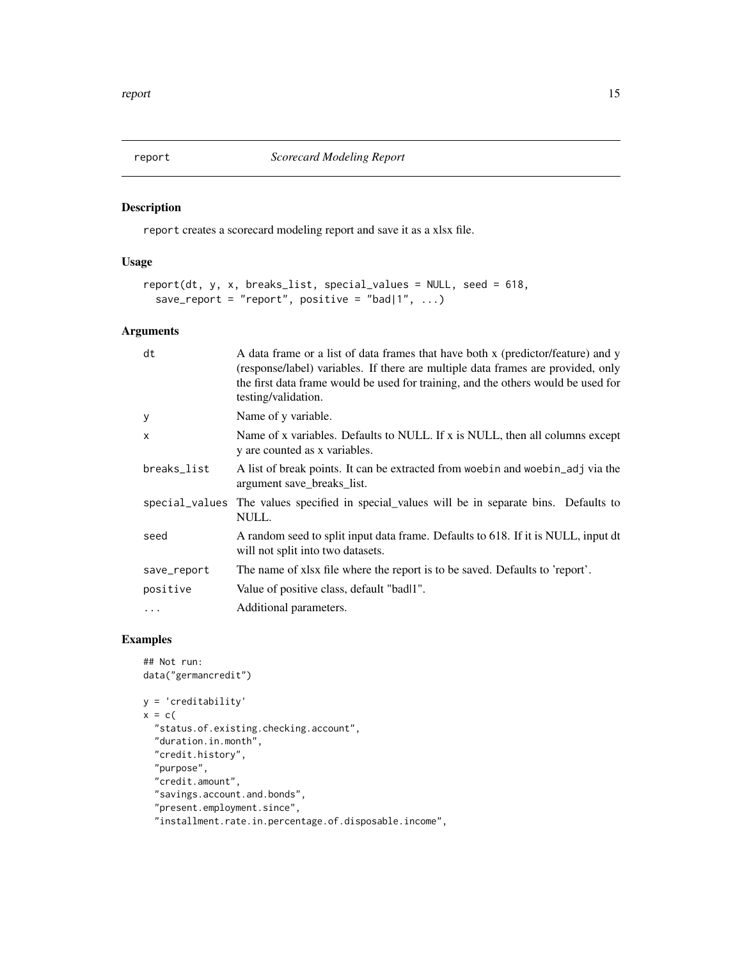<span id="page-14-0"></span>

# Description

report creates a scorecard modeling report and save it as a xlsx file.

# Usage

```
report(dt, y, x, breaks_list, special_values = NULL, seed = 618,
 save_report = "report", positive = "bad|1", ...)
```
# Arguments

| dt          | A data frame or a list of data frames that have both x (predictor/feature) and y<br>(response/label) variables. If there are multiple data frames are provided, only<br>the first data frame would be used for training, and the others would be used for<br>testing/validation. |
|-------------|----------------------------------------------------------------------------------------------------------------------------------------------------------------------------------------------------------------------------------------------------------------------------------|
| y           | Name of y variable.                                                                                                                                                                                                                                                              |
| X           | Name of x variables. Defaults to NULL. If x is NULL, then all columns except<br>y are counted as x variables.                                                                                                                                                                    |
| breaks_list | A list of break points. It can be extracted from words and words and via the<br>argument save_breaks_list.                                                                                                                                                                       |
|             | special values The values specified in special values will be in separate bins. Defaults to<br>NULL.                                                                                                                                                                             |
| seed        | A random seed to split input data frame. Defaults to 618. If it is NULL, input dt<br>will not split into two datasets.                                                                                                                                                           |
| save_report | The name of xlsx file where the report is to be saved. Defaults to 'report'.                                                                                                                                                                                                     |
| positive    | Value of positive class, default "badl1".                                                                                                                                                                                                                                        |
| $\cdots$    | Additional parameters.                                                                                                                                                                                                                                                           |

```
## Not run:
data("germancredit")
y = 'creditability'
x = c("status.of.existing.checking.account",
  "duration.in.month",
  "credit.history",
  "purpose",
  "credit.amount",
  "savings.account.and.bonds",
  "present.employment.since",
  "installment.rate.in.percentage.of.disposable.income",
```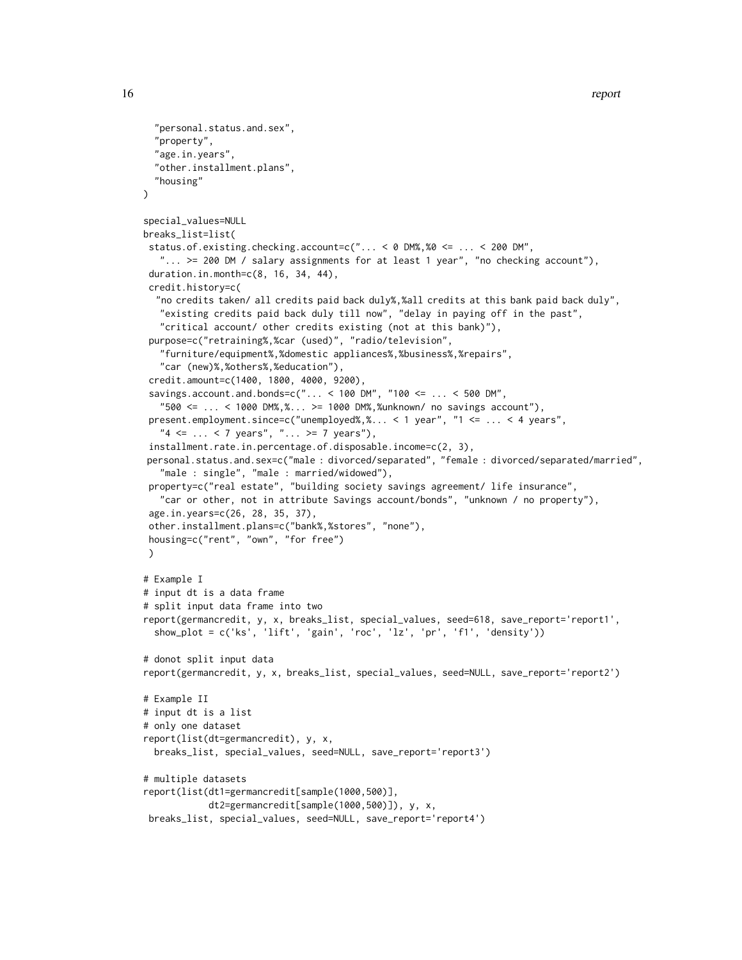```
"personal.status.and.sex",
  "property",
  "age.in.years",
  "other.installment.plans",
  "housing"
\lambdaspecial_values=NULL
breaks_list=list(
status.of.existing.checking.account=c("... < 0 DM%,%0 <= ... < 200 DM",
   "... >= 200 DM / salary assignments for at least 1 year", "no checking account"),
 duration.in.month=c(8, 16, 34, 44),
 credit.history=c(
  "no credits taken/ all credits paid back duly%,%all credits at this bank paid back duly",
   "existing credits paid back duly till now", "delay in paying off in the past",
   "critical account/ other credits existing (not at this bank)"),
 purpose=c("retraining%,%car (used)", "radio/television",
   "furniture/equipment%,%domestic appliances%,%business%,%repairs",
   "car (new)%,%others%,%education"),
 credit.amount=c(1400, 1800, 4000, 9200),
 savings.account.and.bonds=c("... < 100 DM", "100 <= ... < 500 DM",
   "500 \le ... \le 1000 DM%, %... >= 1000 DM%, %unknown/ no savings account"),
 present.employment.since=c("unemployed%,%... < 1 year", "1 <= ... < 4 years",
   "4 \leq ... \leq 7 years", "... >= 7 years"),
 installment.rate.in.percentage.of.disposable.income=c(2, 3),
personal.status.and.sex=c("male : divorced/separated", "female : divorced/separated/married",
   "male : single", "male : married/widowed"),
 property=c("real estate", "building society savings agreement/ life insurance",
   "car or other, not in attribute Savings account/bonds", "unknown / no property"),
 age.in.years=c(26, 28, 35, 37),
 other.installment.plans=c("bank%,%stores", "none"),
housing=c("rent", "own", "for free")
\lambda# Example I
# input dt is a data frame
# split input data frame into two
report(germancredit, y, x, breaks_list, special_values, seed=618, save_report='report1',
  show_plot = c('ks', 'lift', 'gain', 'roc', 'lz', 'pr', 'f1', 'density'))
# donot split input data
report(germancredit, y, x, breaks_list, special_values, seed=NULL, save_report='report2')
# Example II
# input dt is a list
# only one dataset
report(list(dt=germancredit), y, x,
 breaks_list, special_values, seed=NULL, save_report='report3')
# multiple datasets
report(list(dt1=germancredit[sample(1000,500)],
            dt2=germancredit[sample(1000,500)]), y, x,
 breaks_list, special_values, seed=NULL, save_report='report4')
```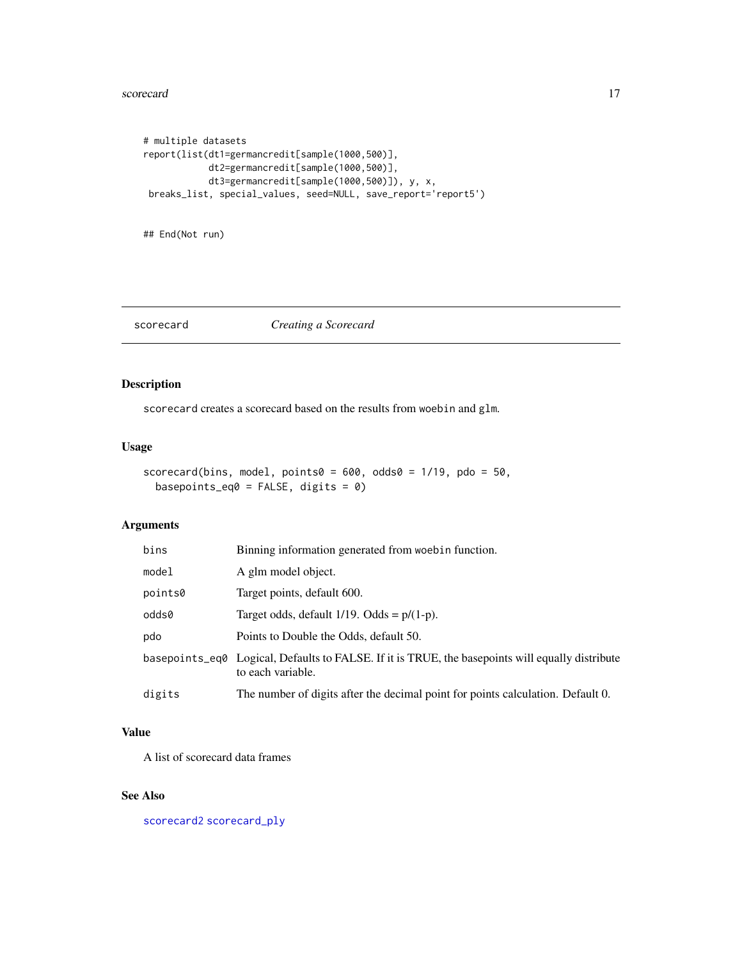#### <span id="page-16-0"></span>scorecard and the set of the set of the set of the set of the set of the set of the set of the set of the set of the set of the set of the set of the set of the set of the set of the set of the set of the set of the set of

```
# multiple datasets
report(list(dt1=germancredit[sample(1000,500)],
            dt2=germancredit[sample(1000,500)],
            dt3=germancredit[sample(1000,500)]), y, x,
breaks_list, special_values, seed=NULL, save_report='report5')
```
## End(Not run)

### <span id="page-16-1"></span>scorecard *Creating a Scorecard*

# Description

scorecard creates a scorecard based on the results from woebin and glm.

# Usage

```
scorecard(bins, model, points0 = 600, odds0 = 1/19, pdo = 50,
 basepoints_eq0 = FALSE, digits = 0)
```
# Arguments

| bins    | Binning information generated from woebin function.                                                                   |
|---------|-----------------------------------------------------------------------------------------------------------------------|
| model   | A glm model object.                                                                                                   |
| points0 | Target points, default 600.                                                                                           |
| odds0   | Target odds, default $1/19$ . Odds = $p/(1-p)$ .                                                                      |
| pdo     | Points to Double the Odds, default 50.                                                                                |
|         | basepoints_eq0 Logical, Defaults to FALSE. If it is TRUE, the basepoints will equally distribute<br>to each variable. |
| digits  | The number of digits after the decimal point for points calculation. Default 0.                                       |

# Value

A list of scorecard data frames

# See Also

[scorecard2](#page-17-1) [scorecard\\_ply](#page-19-1)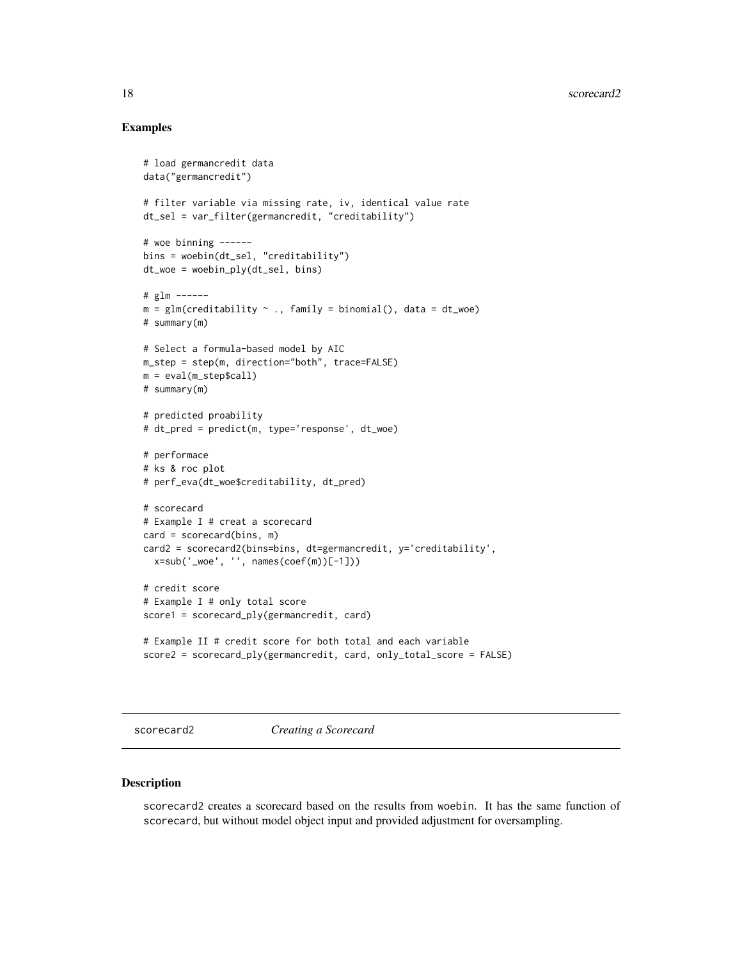#### 18 scorecard2

# Examples

```
# load germancredit data
data("germancredit")
# filter variable via missing rate, iv, identical value rate
dt_sel = var_filter(germancredit, "creditability")
# woe binning ------
bins = woebin(dt_sel, "creditability")
dt_woe = woebin_ply(dt_sel, bins)
# glm ------
m = glm(creditability ~ ., family = binomial(), data = dt_woe)# summary(m)
# Select a formula-based model by AIC
m_step = step(m, direction="both", trace=FALSE)
m = eval(m_step$call)
# summary(m)
# predicted proability
# dt_pred = predict(m, type='response', dt_woe)
# performace
# ks & roc plot
# perf_eva(dt_woe$creditability, dt_pred)
# scorecard
# Example I # creat a scorecard
card = scorecard(bins, m)
card2 = scorecard2(bins=bins, dt=germancredit, y='creditability',
  x=sub('_woe', '', names(coef(m))[-1]))
# credit score
# Example I # only total score
score1 = scorecard_ply(germancredit, card)
# Example II # credit score for both total and each variable
score2 = scorecard_ply(germancredit, card, only_total_score = FALSE)
```
<span id="page-17-1"></span>scorecard2 *Creating a Scorecard*

#### Description

scorecard2 creates a scorecard based on the results from woebin. It has the same function of scorecard, but without model object input and provided adjustment for oversampling.

<span id="page-17-0"></span>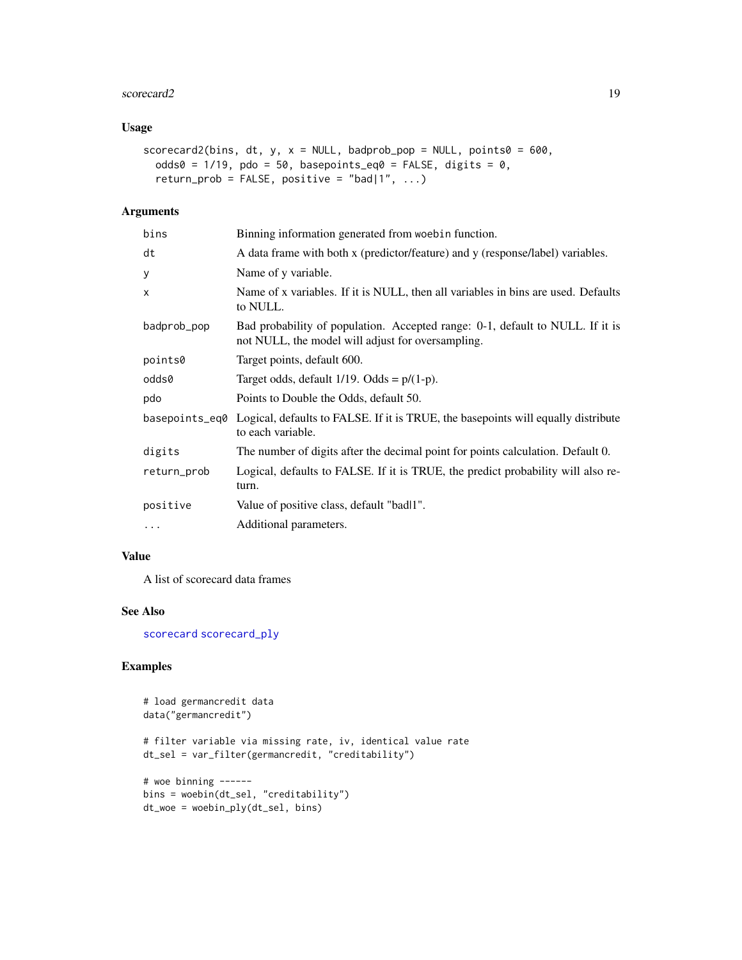#### <span id="page-18-0"></span>scorecard2 19

# Usage

```
scorecard2(bins, dt, y, x = NULL, badprob_pop = NULL, points0 = 600,
 odds0 = 1/19, pdo = 50, basepoints_eq0 = FALSE, digits = 0,
  return_prob = FALSE, positive = "bad|1", \ldots)
```
# Arguments

| bins           | Binning information generated from woebin function.                                                                                |
|----------------|------------------------------------------------------------------------------------------------------------------------------------|
| dt             | A data frame with both x (predictor/feature) and y (response/label) variables.                                                     |
| У              | Name of y variable.                                                                                                                |
| X              | Name of x variables. If it is NULL, then all variables in bins are used. Defaults<br>to NULL.                                      |
| badprob_pop    | Bad probability of population. Accepted range: 0-1, default to NULL. If it is<br>not NULL, the model will adjust for oversampling. |
| points0        | Target points, default 600.                                                                                                        |
| odds0          | Target odds, default $1/19$ . Odds = $p/(1-p)$ .                                                                                   |
| pdo            | Points to Double the Odds, default 50.                                                                                             |
| basepoints_eq0 | Logical, defaults to FALSE. If it is TRUE, the basepoints will equally distribute<br>to each variable.                             |
| digits         | The number of digits after the decimal point for points calculation. Default 0.                                                    |
| return_prob    | Logical, defaults to FALSE. If it is TRUE, the predict probability will also re-<br>turn.                                          |
| positive       | Value of positive class, default "badl1".                                                                                          |
| $\cdots$       | Additional parameters.                                                                                                             |

# Value

A list of scorecard data frames

# See Also

[scorecard](#page-16-1) [scorecard\\_ply](#page-19-1)

```
# load germancredit data
data("germancredit")
# filter variable via missing rate, iv, identical value rate
dt_sel = var_filter(germancredit, "creditability")
# woe binning ------
bins = woebin(dt_sel, "creditability")
dt_woe = woebin_ply(dt_sel, bins)
```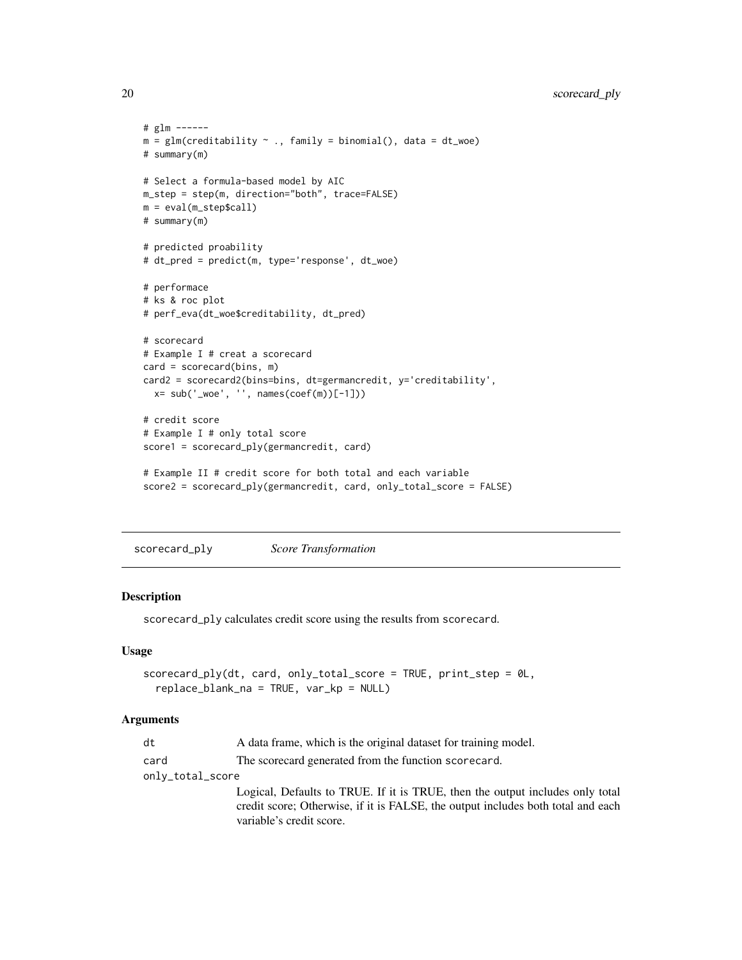```
# glm ------
m = glm(creditability ~ ., family = binomial(), data = dt_moe)# summary(m)
# Select a formula-based model by AIC
m_step = step(m, direction="both", trace=FALSE)
m = eval(m_step$call)
# summary(m)
# predicted proability
# dt_pred = predict(m, type='response', dt_woe)
# performace
# ks & roc plot
# perf_eva(dt_woe$creditability, dt_pred)
# scorecard
# Example I # creat a scorecard
card = scorecard(bins, m)
card2 = scorecard2(bins=bins, dt=germancredit, y='creditability',
  x= sub('_woe', '', names(coef(m))[-1]))
# credit score
# Example I # only total score
score1 = scorecard_ply(germancredit, card)
# Example II # credit score for both total and each variable
```

```
score2 = scorecard_ply(germancredit, card, only_total_score = FALSE)
```
<span id="page-19-1"></span>scorecard\_ply *Score Transformation*

# Description

scorecard\_ply calculates credit score using the results from scorecard.

#### Usage

```
scorecard_ply(dt, card, only_total_score = TRUE, print_step = 0L,
  replace_blank_na = TRUE, var_kp = NULL)
```
#### Arguments

| dt               | A data frame, which is the original dataset for training model.                  |
|------------------|----------------------------------------------------------------------------------|
| card             | The scorecard generated from the function scorecard.                             |
| only_total_score |                                                                                  |
|                  | Logical, Defaults to TRUE. If it is TRUE, then the output includes only total    |
|                  | credit score; Otherwise, if it is FALSE, the output includes both total and each |
|                  | variable's credit score.                                                         |

<span id="page-19-0"></span>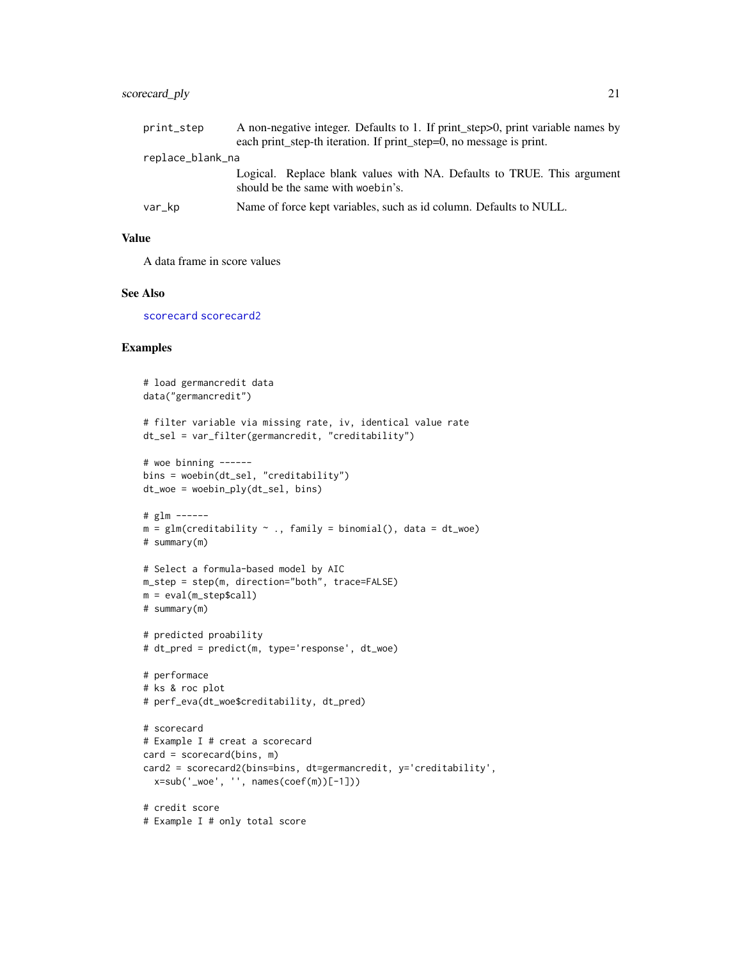# <span id="page-20-0"></span>scorecard\_ply 21

| print_step       | A non-negative integer. Defaults to 1. If print_step>0, print variable names by |  |
|------------------|---------------------------------------------------------------------------------|--|
|                  | each print_step-th iteration. If print_step=0, no message is print.             |  |
| replace_blank_na |                                                                                 |  |
|                  | Logical. Replace blank values with NA. Defaults to TRUE. This argument          |  |
|                  | should be the same with woebin's.                                               |  |
| var_kp           | Name of force kept variables, such as id column. Defaults to NULL.              |  |

# Value

A data frame in score values

# See Also

[scorecard](#page-16-1) [scorecard2](#page-17-1)

```
# load germancredit data
data("germancredit")
# filter variable via missing rate, iv, identical value rate
dt_sel = var_filter(germancredit, "creditability")
# woe binning ------
bins = woebin(dt_sel, "creditability")
dt_woe = woebin_ply(dt_sel, bins)
# glm ------
m = glm(creditability \sim ., family = binomial(), data = dt_woe)# summary(m)
# Select a formula-based model by AIC
m_step = step(m, direction="both", trace=FALSE)
m = eval(m_step$call)
# summary(m)
# predicted proability
# dt_pred = predict(m, type='response', dt_woe)
# performace
# ks & roc plot
# perf_eva(dt_woe$creditability, dt_pred)
# scorecard
# Example I # creat a scorecard
card = scorecard(bins, m)
card2 = scorecard2(bins=bins, dt=germancredit, y='creditability',
 x=sub('_woe', '', names(coef(m))[-1]))
# credit score
# Example I # only total score
```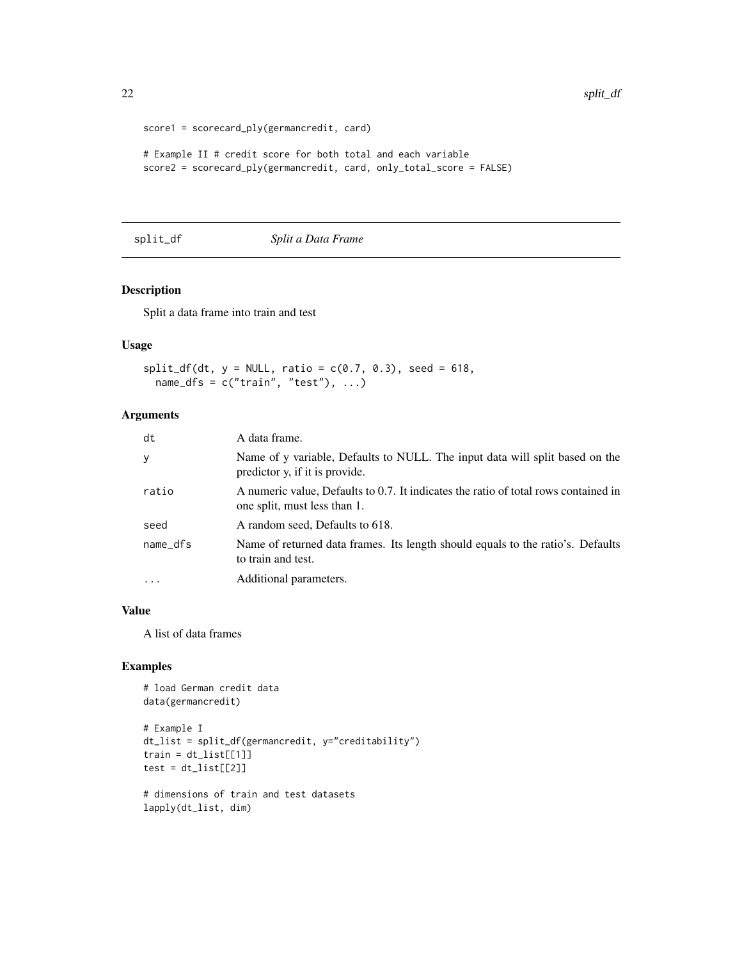```
score1 = scorecard_ply(germancredit, card)
# Example II # credit score for both total and each variable
score2 = scorecard_ply(germancredit, card, only_total_score = FALSE)
```
### split\_df *Split a Data Frame*

# Description

Split a data frame into train and test

#### Usage

```
split_df(dt, y = NULL, ratio = c(0.7, 0.3), seed = 618,name_dfs = c("train", "test"), ...
```
#### Arguments

| dt         | A data frame.                                                                                                       |
|------------|---------------------------------------------------------------------------------------------------------------------|
| У          | Name of y variable, Defaults to NULL. The input data will split based on the<br>predictor y, if it is provide.      |
| ratio      | A numeric value, Defaults to 0.7. It indicates the ratio of total rows contained in<br>one split, must less than 1. |
| seed       | A random seed, Defaults to 618.                                                                                     |
| name_dfs   | Name of returned data frames. Its length should equals to the ratio's. Defaults<br>to train and test.               |
| $\ddots$ . | Additional parameters.                                                                                              |

#### Value

A list of data frames

```
# load German credit data
data(germancredit)
# Example I
dt_list = split_df(germancredit, y="creditability")
train = dt\_list[[1]]test = dt\_list[[2]]# dimensions of train and test datasets
lapply(dt_list, dim)
```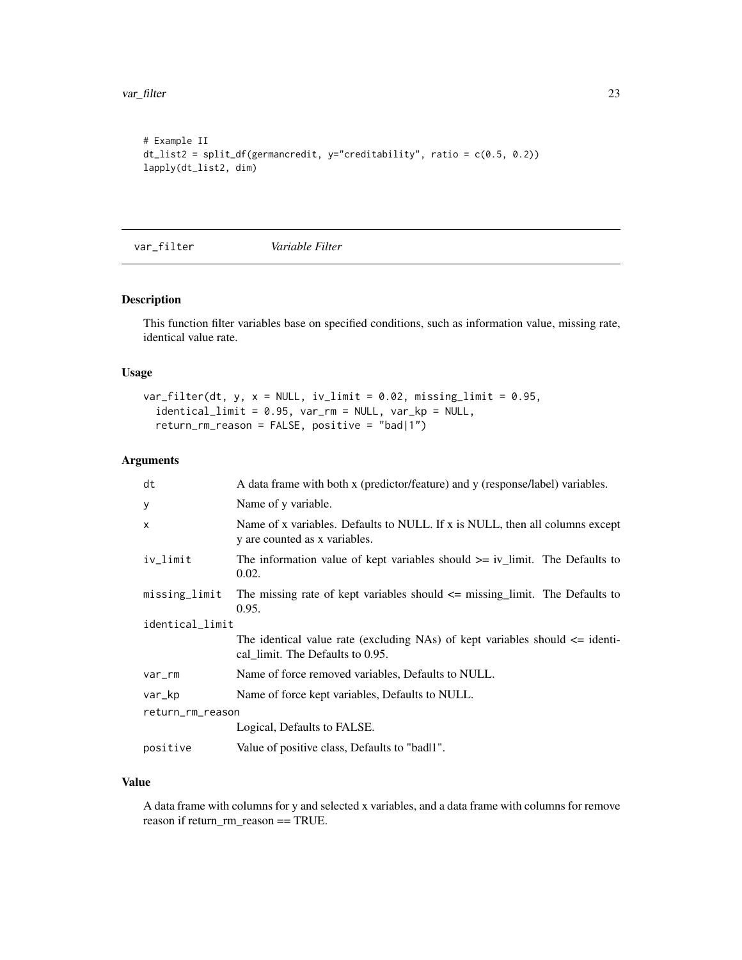<span id="page-22-0"></span>var\_filter 23

```
# Example II
dt_list2 = split_df(germancredit, y="creditability", ratio = c(0.5, 0.2))
lapply(dt_list2, dim)
```
var\_filter *Variable Filter*

# Description

This function filter variables base on specified conditions, such as information value, missing rate, identical value rate.

# Usage

```
var_filter(dt, y, x = NULL, iv_limit = 0.02, missing_limit = 0.95,
  identical_limit = 0.95, var_rm = NULL, var_kp = NULL,
  return_rm_reason = FALSE, positive = "bad|1")
```
# Arguments

| dt               | A data frame with both x (predictor/feature) and y (response/label) variables.                                       |  |  |
|------------------|----------------------------------------------------------------------------------------------------------------------|--|--|
| У                | Name of y variable.                                                                                                  |  |  |
| $\times$         | Name of x variables. Defaults to NULL. If x is NULL, then all columns except<br>y are counted as x variables.        |  |  |
| iv_limit         | The information value of kept variables should $\ge$ iv_limit. The Defaults to<br>0.02.                              |  |  |
| missing_limit    | The missing rate of kept variables should $\leq$ missing limit. The Defaults to<br>0.95.                             |  |  |
|                  | identical_limit                                                                                                      |  |  |
|                  | The identical value rate (excluding NAs) of kept variables should $\leq$ identi-<br>cal_limit. The Defaults to 0.95. |  |  |
| var_rm           | Name of force removed variables, Defaults to NULL.                                                                   |  |  |
| var_kp           | Name of force kept variables, Defaults to NULL.                                                                      |  |  |
| return_rm_reason |                                                                                                                      |  |  |
|                  | Logical, Defaults to FALSE.                                                                                          |  |  |
| positive         | Value of positive class, Defaults to "badl1".                                                                        |  |  |

# Value

A data frame with columns for y and selected x variables, and a data frame with columns for remove reason if return\_rm\_reason == TRUE.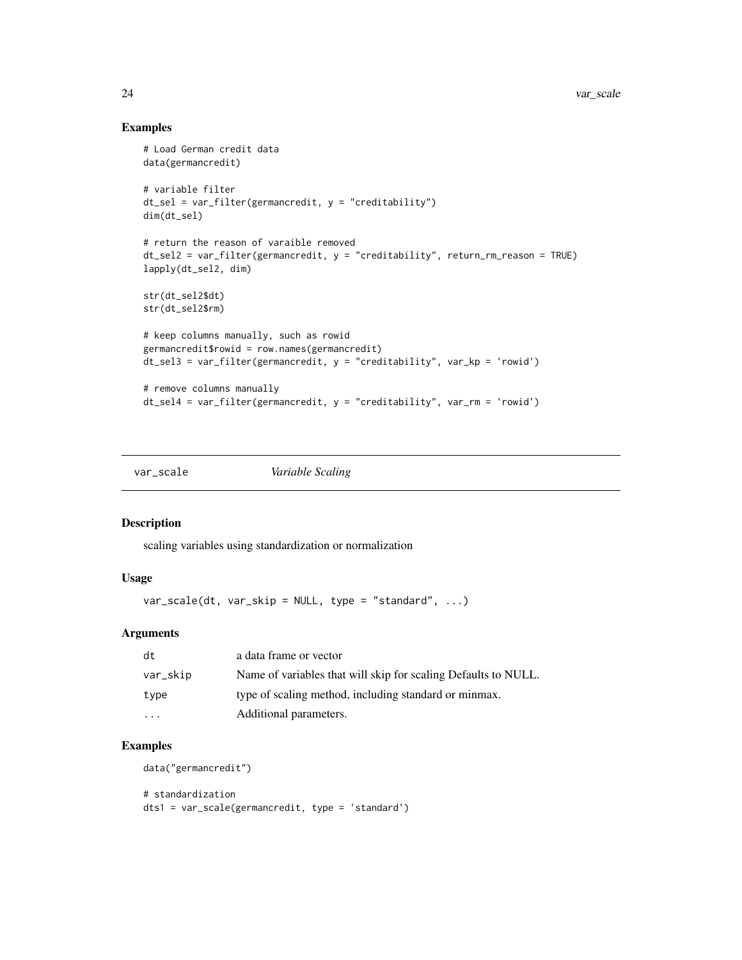# Examples

```
# Load German credit data
data(germancredit)
# variable filter
dt_sel = var_filter(germancredit, y = "creditability")
dim(dt_sel)
# return the reason of varaible removed
dt_sel2 = var_filter(germancredit, y = "creditability", return_rm_reason = TRUE)
lapply(dt_sel2, dim)
str(dt_sel2$dt)
str(dt_sel2$rm)
# keep columns manually, such as rowid
germancredit$rowid = row.names(germancredit)
dt_sel3 = var_filter(germancredit, y = "creditability", var_kp = 'rowid')
# remove columns manually
dt_sel4 = var_filter(germancredit, y = "creditability", var_rm = 'rowid')
```
var\_scale *Variable Scaling*

# Description

scaling variables using standardization or normalization

#### Usage

 $var\_scale(dt, var\_skip = NULL, type = "standard", ...)$ 

#### Arguments

| dt       | a data frame or vector                                         |
|----------|----------------------------------------------------------------|
| var_skip | Name of variables that will skip for scaling Defaults to NULL. |
| type     | type of scaling method, including standard or minmax.          |
| $\cdots$ | Additional parameters.                                         |

# Examples

data("germancredit")

# standardization dts1 = var\_scale(germancredit, type = 'standard')

<span id="page-23-0"></span>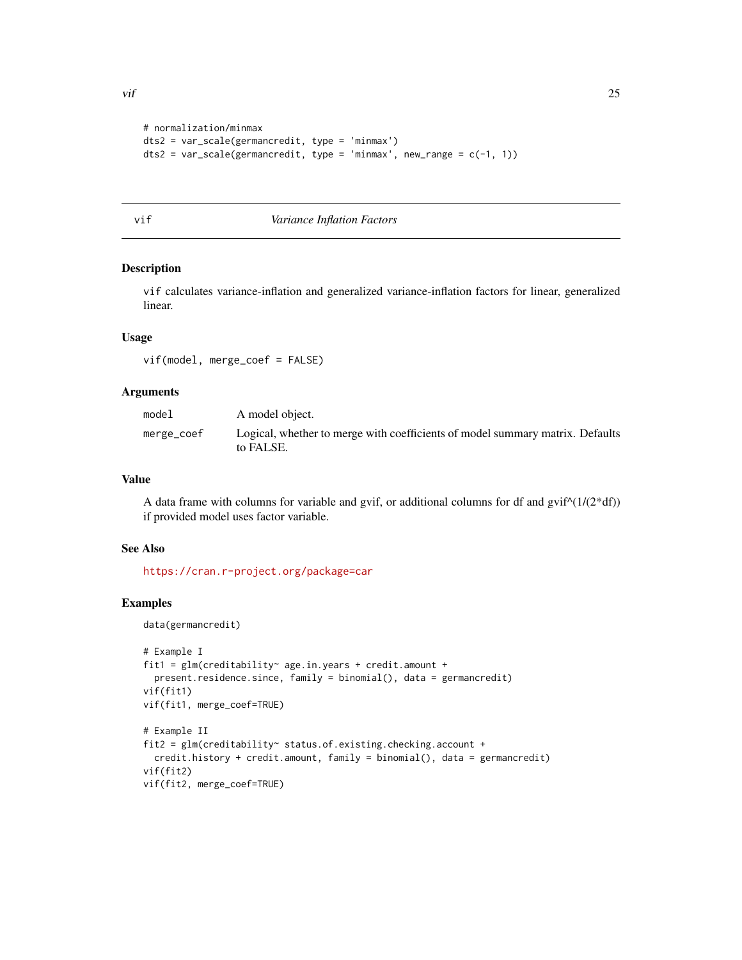```
# normalization/minmax
dts2 = var_scale(germancredit, type = 'minmax')
dts2 = var\_scale(germancredit, type = 'minmax', new\_range = c(-1, 1))
```
#### vif *Variance Inflation Factors*

#### Description

vif calculates variance-inflation and generalized variance-inflation factors for linear, generalized linear.

# Usage

vif(model, merge\_coef = FALSE)

#### Arguments

| model      | A model object.                                                                            |
|------------|--------------------------------------------------------------------------------------------|
| merge_coef | Logical, whether to merge with coefficients of model summary matrix. Defaults<br>to FALSE. |

#### Value

A data frame with columns for variable and gvif, or additional columns for df and  $g\text{vir}(\frac{1}{2*df})$ if provided model uses factor variable.

# See Also

<https://cran.r-project.org/package=car>

#### Examples

data(germancredit)

```
# Example I
fit1 = glm(creditability~ age.in.years + credit.amount +
  present.residence.since, family = binomial(), data = germancredit)
vif(fit1)
vif(fit1, merge_coef=TRUE)
# Example II
fit2 = glm(creditability ~ status. of. existing. checking. accounting +credit.history + credit.mcount, family = binomial(), data = germancredit)vif(fit2)
vif(fit2, merge_coef=TRUE)
```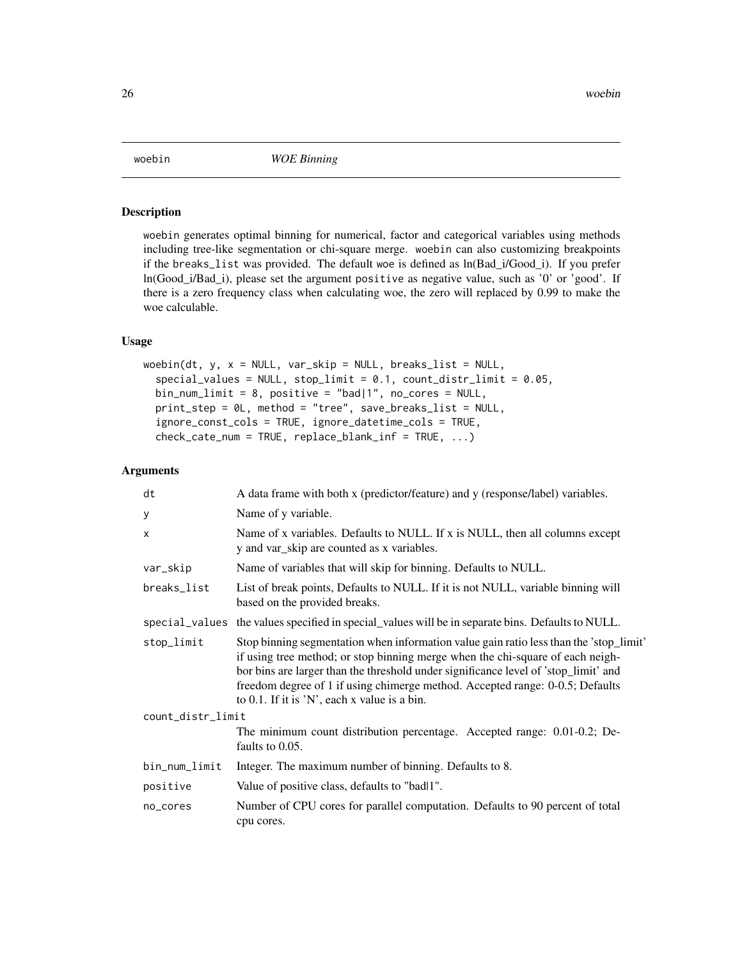<span id="page-25-1"></span><span id="page-25-0"></span>

#### Description

woebin generates optimal binning for numerical, factor and categorical variables using methods including tree-like segmentation or chi-square merge. woebin can also customizing breakpoints if the breaks\_list was provided. The default woe is defined as ln(Bad\_i/Good\_i). If you prefer ln(Good\_i/Bad\_i), please set the argument positive as negative value, such as '0' or 'good'. If there is a zero frequency class when calculating woe, the zero will replaced by 0.99 to make the woe calculable.

# Usage

```
woebin(dt, y, x = NULL, var_skip = NULL, breaks_list = NULL,special_values = NULL, stop-limit = 0.1, count\_distr\_limit = 0.05,bin_num_limit = 8, positive = "bad|1", no_cores = NULL,
 print_step = 0L, method = "tree", save_breaks_list = NULL,
  ignore_const_cols = TRUE, ignore_datetime_cols = TRUE,
  check\_cate\_num = TRUE, replace\_blank\_inf = TRUE, ...
```
# Arguments

| dt                | A data frame with both x (predictor/feature) and y (response/label) variables.                                                                                                                                                                                                                                                                                                                      |  |
|-------------------|-----------------------------------------------------------------------------------------------------------------------------------------------------------------------------------------------------------------------------------------------------------------------------------------------------------------------------------------------------------------------------------------------------|--|
| У                 | Name of y variable.                                                                                                                                                                                                                                                                                                                                                                                 |  |
| $\times$          | Name of x variables. Defaults to NULL. If x is NULL, then all columns except<br>y and var_skip are counted as x variables.                                                                                                                                                                                                                                                                          |  |
| var_skip          | Name of variables that will skip for binning. Defaults to NULL.                                                                                                                                                                                                                                                                                                                                     |  |
| breaks_list       | List of break points, Defaults to NULL. If it is not NULL, variable binning will<br>based on the provided breaks.                                                                                                                                                                                                                                                                                   |  |
|                   | special_values the values specified in special_values will be in separate bins. Defaults to NULL.                                                                                                                                                                                                                                                                                                   |  |
| stop_limit        | Stop binning segmentation when information value gain ratio less than the 'stop_limit'<br>if using tree method; or stop binning merge when the chi-square of each neigh-<br>bor bins are larger than the threshold under significance level of 'stop_limit' and<br>freedom degree of 1 if using chimerge method. Accepted range: 0-0.5; Defaults<br>to $0.1$ . If it is 'N', each x value is a bin. |  |
| count_distr_limit |                                                                                                                                                                                                                                                                                                                                                                                                     |  |
|                   | The minimum count distribution percentage. Accepted range: 0.01-0.2; De-<br>faults to 0.05.                                                                                                                                                                                                                                                                                                         |  |
| bin_num_limit     | Integer. The maximum number of binning. Defaults to 8.                                                                                                                                                                                                                                                                                                                                              |  |
| positive          | Value of positive class, defaults to "badl1".                                                                                                                                                                                                                                                                                                                                                       |  |
| no_cores          | Number of CPU cores for parallel computation. Defaults to 90 percent of total<br>cpu cores.                                                                                                                                                                                                                                                                                                         |  |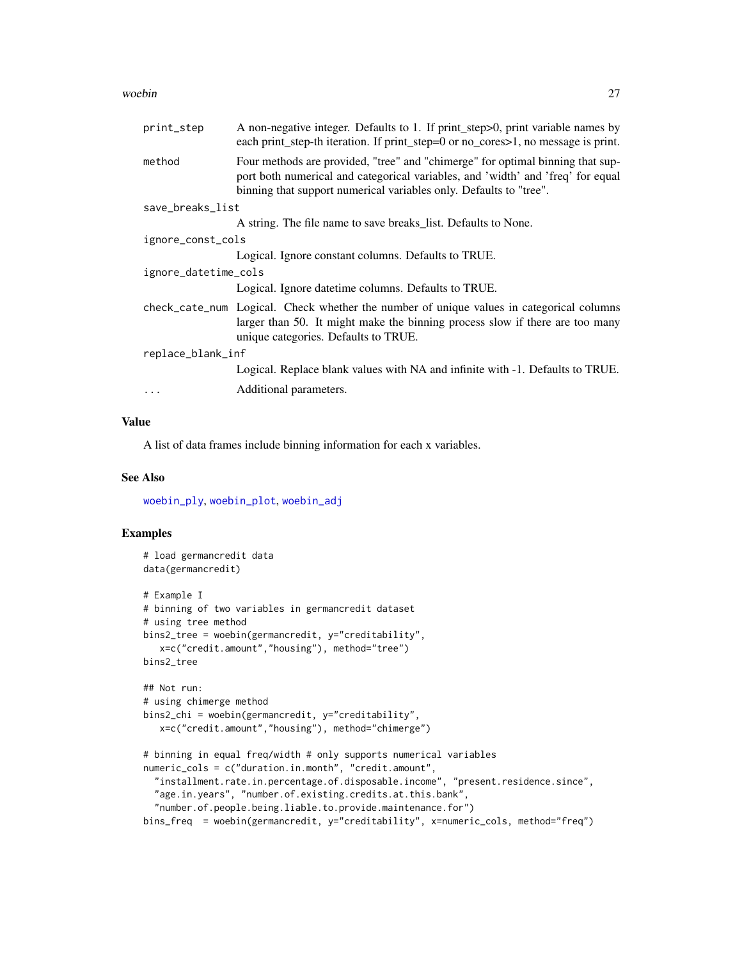#### <span id="page-26-0"></span>woebin 27

| print_step           | A non-negative integer. Defaults to 1. If print_step>0, print variable names by<br>each print_step-th iteration. If print_step=0 or no_cores>1, no message is print.                                                                    |  |
|----------------------|-----------------------------------------------------------------------------------------------------------------------------------------------------------------------------------------------------------------------------------------|--|
| method               | Four methods are provided, "tree" and "chimerge" for optimal binning that sup-<br>port both numerical and categorical variables, and 'width' and 'freq' for equal<br>binning that support numerical variables only. Defaults to "tree". |  |
| save_breaks_list     |                                                                                                                                                                                                                                         |  |
|                      | A string. The file name to save breaks_list. Defaults to None.                                                                                                                                                                          |  |
| ignore_const_cols    |                                                                                                                                                                                                                                         |  |
|                      | Logical. Ignore constant columns. Defaults to TRUE.                                                                                                                                                                                     |  |
| ignore_datetime_cols |                                                                                                                                                                                                                                         |  |
|                      | Logical. Ignore date time columns. Defaults to TRUE.                                                                                                                                                                                    |  |
|                      | check_cate_num Logical. Check whether the number of unique values in categorical columns<br>larger than 50. It might make the binning process slow if there are too many<br>unique categories. Defaults to TRUE.                        |  |
| replace_blank_inf    |                                                                                                                                                                                                                                         |  |
|                      | Logical. Replace blank values with NA and infinite with -1. Defaults to TRUE.                                                                                                                                                           |  |
|                      | Additional parameters.                                                                                                                                                                                                                  |  |
|                      |                                                                                                                                                                                                                                         |  |

# Value

A list of data frames include binning information for each x variables.

#### See Also

[woebin\\_ply](#page-30-1), [woebin\\_plot](#page-29-1), [woebin\\_adj](#page-27-1)

```
# load germancredit data
data(germancredit)
# Example I
# binning of two variables in germancredit dataset
# using tree method
bins2_tree = woebin(germancredit, y="creditability",
   x=c("credit.amount","housing"), method="tree")
bins2_tree
## Not run:
# using chimerge method
bins2_chi = woebin(germancredit, y="creditability",
   x=c("credit.amount","housing"), method="chimerge")
# binning in equal freq/width # only supports numerical variables
numeric_cols = c("duration.in.month", "credit.amount",
  "installment.rate.in.percentage.of.disposable.income", "present.residence.since",
  "age.in.years", "number.of.existing.credits.at.this.bank",
  "number.of.people.being.liable.to.provide.maintenance.for")
bins_freq = woebin(germancredit, y="creditability", x=numeric_cols, method="freq")
```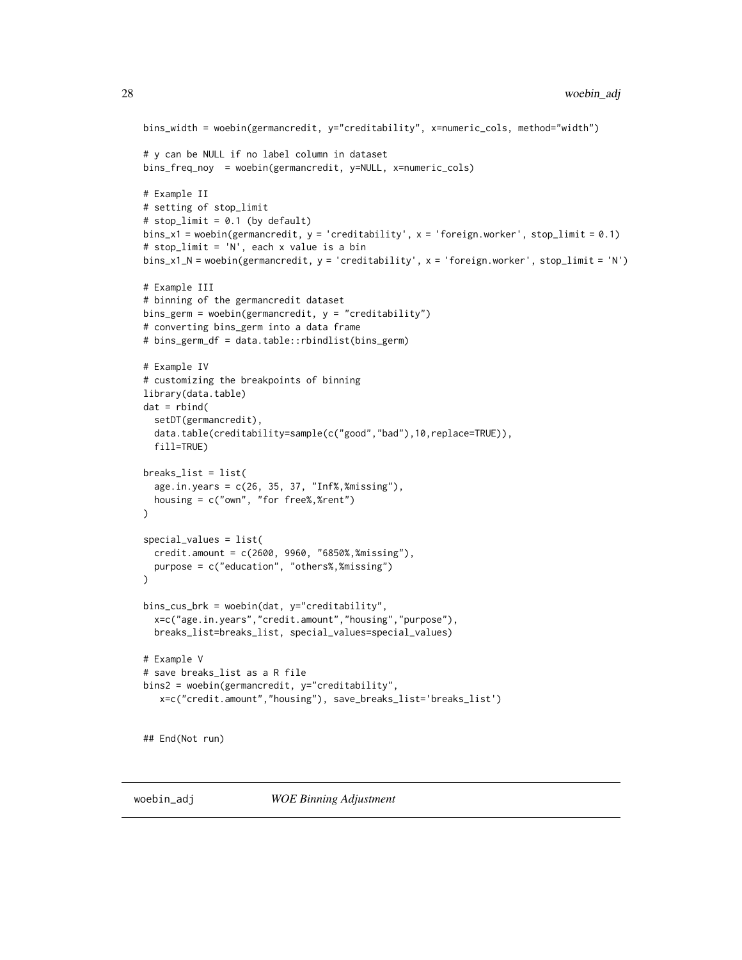```
bins_width = woebin(germancredit, y="creditability", x=numeric_cols, method="width")
# y can be NULL if no label column in dataset
bins_freq_noy = woebin(germancredit, y=NULL, x=numeric_cols)
# Example II
# setting of stop_limit
# stop_limit = 0.1 (by default)
bins_x1 = woebin(germancredit, y = 'creditability', x = 'foreign.worker', stop_limit = 0.1)
# stop_limit = 'N', each x value is a bin
bins_x1_N = woebin(germancredit, y = 'creditability', x = 'foreign.worker', stop_limit = 'N')
# Example III
# binning of the germancredit dataset
bins_germ = woebin(germancredit, y = "creditability")
# converting bins_germ into a data frame
# bins_germ_df = data.table::rbindlist(bins_germ)
# Example IV
# customizing the breakpoints of binning
library(data.table)
dat = rbind(setDT(germancredit),
  data.table(creditability=sample(c("good","bad"),10,replace=TRUE)),
  fill=TRUE)
breaks_list = list(
  age.in.years = c(26, 35, 37, "Inf%,%missing"),
  housing = c("own", "for free%,%rent")
)
special_values = list(
  credit.amount = c(2600, 9960, "6850%,%missing"),
  purpose = c("education", "others%,%missing")
\mathcal{L}bins_cus_brk = woebin(dat, y="creditability",
  x=c("age.in.years","credit.amount","housing","purpose"),
  breaks_list=breaks_list, special_values=special_values)
# Example V
# save breaks_list as a R file
bins2 = woebin(germancredit, y="creditability",
   x=c("credit.amount","housing"), save_breaks_list='breaks_list')
## End(Not run)
```
<span id="page-27-1"></span>

<span id="page-27-0"></span>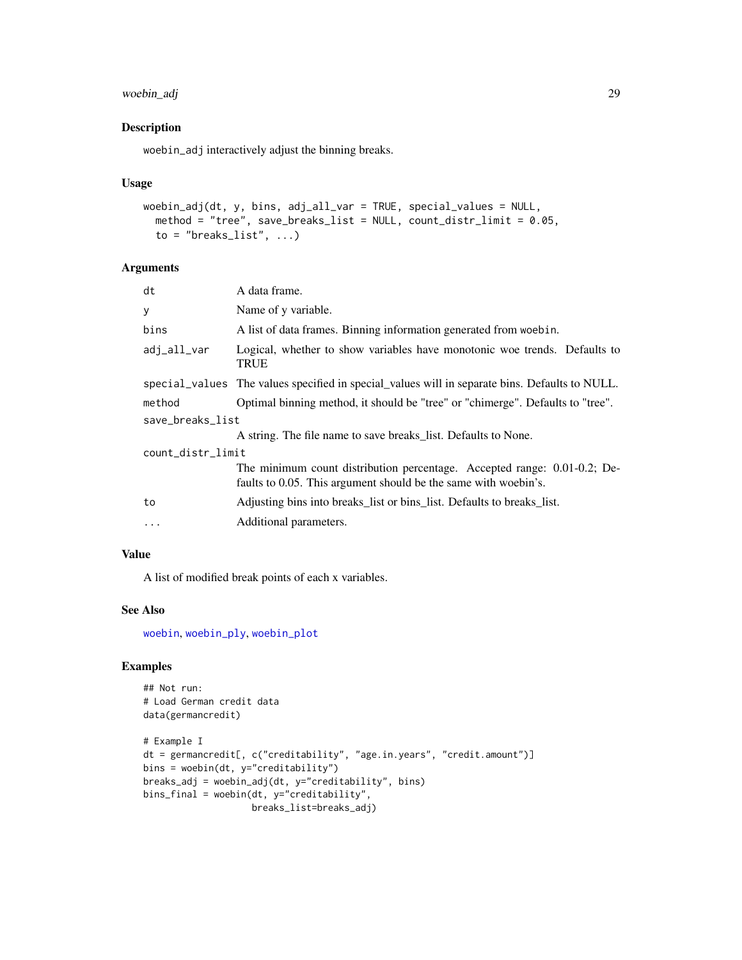# <span id="page-28-0"></span>woebin\_adj 29

# Description

woebin\_adj interactively adjust the binning breaks.

#### Usage

```
woebin_adj(dt, y, bins, adj_all_var = TRUE, special_values = NULL,
 method = "tree", save_breaks_list = NULL, count_distr_limit = 0.05,
 to = "breaks_list", ...)
```
# Arguments

| dt                | A data frame.                                                                                                                               |  |
|-------------------|---------------------------------------------------------------------------------------------------------------------------------------------|--|
| У                 | Name of y variable.                                                                                                                         |  |
| bins              | A list of data frames. Binning information generated from woebin.                                                                           |  |
| adj_all_var       | Logical, whether to show variables have monotonic woe trends. Defaults to<br><b>TRUE</b>                                                    |  |
|                   | special_values The values specified in special_values will in separate bins. Defaults to NULL.                                              |  |
| method            | Optimal binning method, it should be "tree" or "chimerge". Defaults to "tree".                                                              |  |
| save_breaks_list  |                                                                                                                                             |  |
|                   | A string. The file name to save breaks_list. Defaults to None.                                                                              |  |
| count_distr_limit |                                                                                                                                             |  |
|                   | The minimum count distribution percentage. Accepted range: 0.01-0.2; De-<br>faults to 0.05. This argument should be the same with woebin's. |  |
| to                | Adjusting bins into breaks_list or bins_list. Defaults to breaks_list.                                                                      |  |
| $\cdots$          | Additional parameters.                                                                                                                      |  |
|                   |                                                                                                                                             |  |

# Value

A list of modified break points of each x variables.

# See Also

[woebin](#page-25-1), [woebin\\_ply](#page-30-1), [woebin\\_plot](#page-29-1)

```
## Not run:
# Load German credit data
data(germancredit)
# Example I
dt = germancredit[, c("creditability", "age.in.years", "credit.amount")]
bins = woebin(dt, y="creditability")
breaks_adj = woebin_adj(dt, y="creditability", bins)
bins_final = woebin(dt, y="creditability",
                    breaks_list=breaks_adj)
```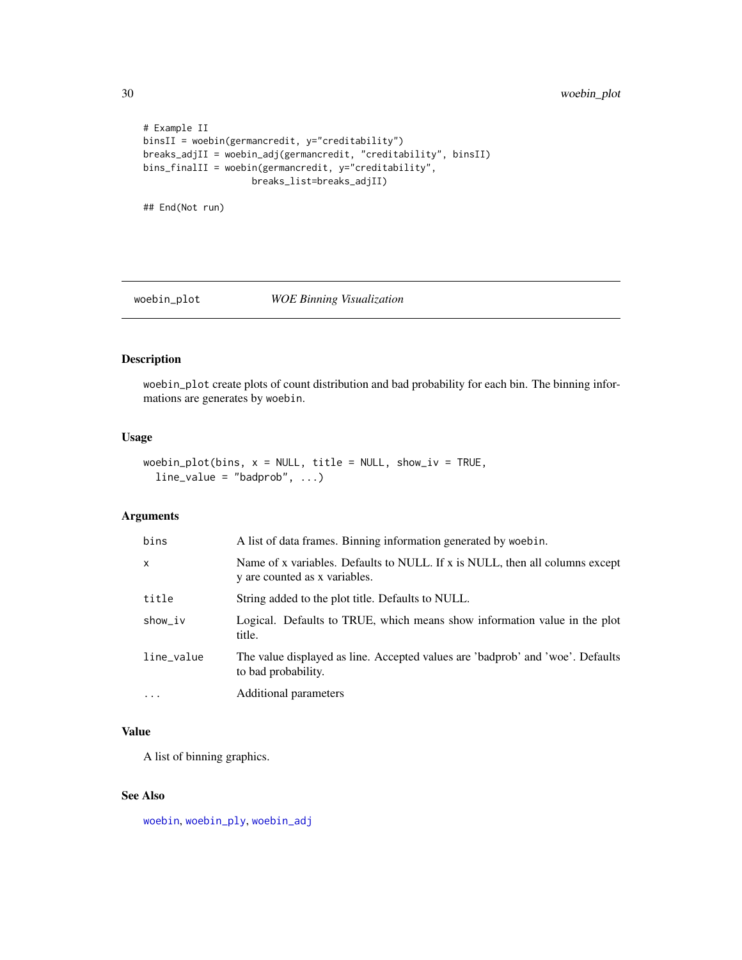# <span id="page-29-0"></span>30 woebin\_plot

```
# Example II
binsII = woebin(germancredit, y="creditability")
breaks_adjII = woebin_adj(germancredit, "creditability", binsII)
bins_finalII = woebin(germancredit, y="creditability",
                    breaks_list=breaks_adjII)
```
## End(Not run)

# <span id="page-29-1"></span>woebin\_plot *WOE Binning Visualization*

# Description

woebin\_plot create plots of count distribution and bad probability for each bin. The binning informations are generates by woebin.

#### Usage

```
woebin_plot(bins, x = NULL, title = NULL, show_iv = TRUE,
 line_value = "badprob", ...)
```
# Arguments

| bins         | A list of data frames. Binning information generated by woebin.                                               |
|--------------|---------------------------------------------------------------------------------------------------------------|
| $\mathsf{x}$ | Name of x variables. Defaults to NULL. If x is NULL, then all columns except<br>y are counted as x variables. |
| title        | String added to the plot title. Defaults to NULL.                                                             |
| show_iv      | Logical. Defaults to TRUE, which means show information value in the plot<br>title.                           |
| line_value   | The value displayed as line. Accepted values are 'badprob' and 'woe'. Defaults<br>to bad probability.         |
| $\ddots$ .   | Additional parameters                                                                                         |

# Value

A list of binning graphics.

#### See Also

[woebin](#page-25-1), [woebin\\_ply](#page-30-1), [woebin\\_adj](#page-27-1)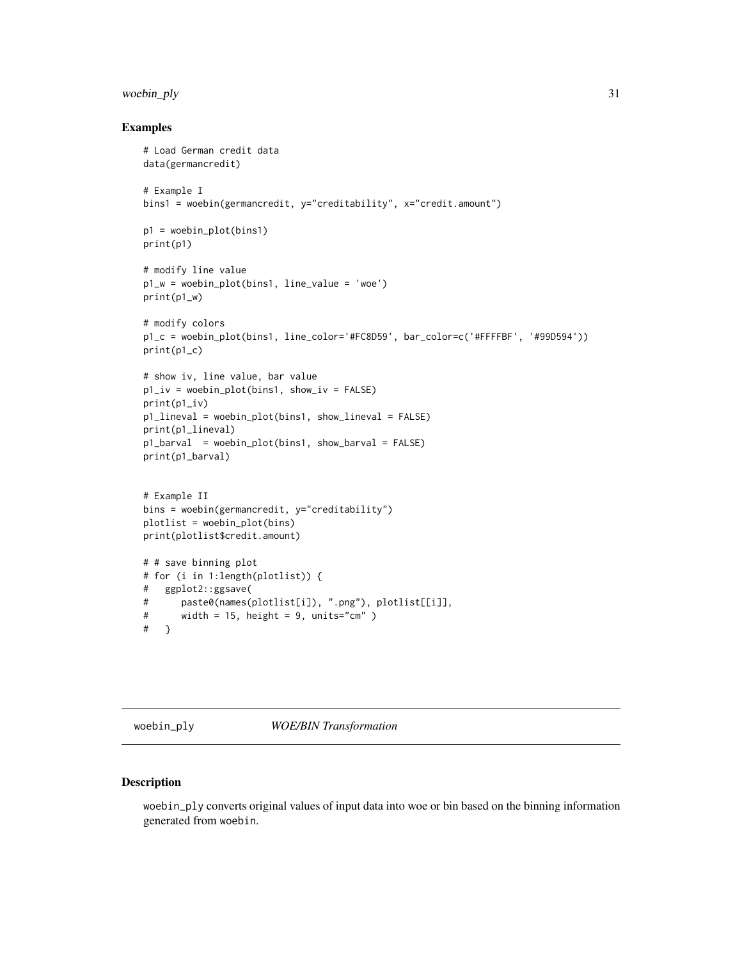# <span id="page-30-0"></span>woebin\_ply 31

#### Examples

```
# Load German credit data
data(germancredit)
# Example I
bins1 = woebin(germancredit, y="creditability", x="credit.amount")
p1 = woebin_plot(bins1)
print(p1)
# modify line value
p1_w = woebin_plot(bins1, line_value = 'woe')
print(p1_w)
# modify colors
p1_c = woebin_plot(bins1, line_color='#FC8D59', bar_color=c('#FFFFBF', '#99D594'))
print(p1_c)
# show iv, line value, bar value
p1_iv = woebin_plot(bins1, show_iv = FALSE)
print(p1_iv)
p1_lineval = woebin_plot(bins1, show_lineval = FALSE)
print(p1_lineval)
p1_barval = woebin_plot(bins1, show_barval = FALSE)
print(p1_barval)
# Example II
bins = woebin(germancredit, y="creditability")
plotlist = woebin_plot(bins)
print(plotlist$credit.amount)
# # save binning plot
# for (i in 1:length(plotlist)) {
# ggplot2::ggsave(
# paste0(names(plotlist[i]), ".png"), plotlist[[i]],
# width = 15, height = 9, units="cm" )
# }
```
<span id="page-30-1"></span>woebin\_ply *WOE/BIN Transformation*

# Description

woebin\_ply converts original values of input data into woe or bin based on the binning information generated from woebin.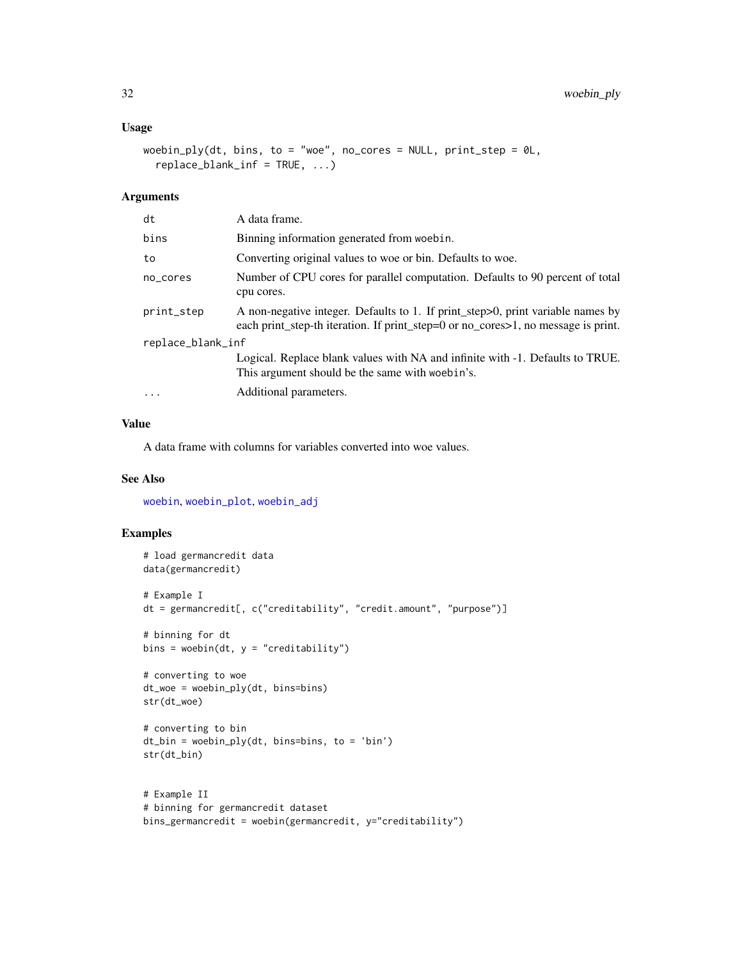# <span id="page-31-0"></span>Usage

```
woebin_ply(dt, bins, to = "woe", no_cores = NULL, print_step = \thetaL,
  replace_blank_inf = TRUE, \ldots)
```
# Arguments

| Number of CPU cores for parallel computation. Defaults to 90 percent of total                                                                                        |  |
|----------------------------------------------------------------------------------------------------------------------------------------------------------------------|--|
| A non-negative integer. Defaults to 1. If print_step>0, print variable names by<br>each print_step-th iteration. If print_step=0 or no_cores>1, no message is print. |  |
| replace_blank_inf                                                                                                                                                    |  |
| Logical. Replace blank values with NA and infinite with -1. Defaults to TRUE.                                                                                        |  |
|                                                                                                                                                                      |  |
|                                                                                                                                                                      |  |

# Value

A data frame with columns for variables converted into woe values.

# See Also

[woebin](#page-25-1), [woebin\\_plot](#page-29-1), [woebin\\_adj](#page-27-1)

```
# load germancredit data
data(germancredit)
# Example I
dt = germancredit[, c("creditability", "credit.amount", "purpose")]
# binning for dt
bins = woebin(dt, y = "creditability")
# converting to woe
dt_woe = woebin_ply(dt, bins=bins)
str(dt_woe)
# converting to bin
dt_bin = woebin_ply(dt, bins=bins, to = 'bin')
str(dt_bin)
# Example II
# binning for germancredit dataset
bins_germancredit = woebin(germancredit, y="creditability")
```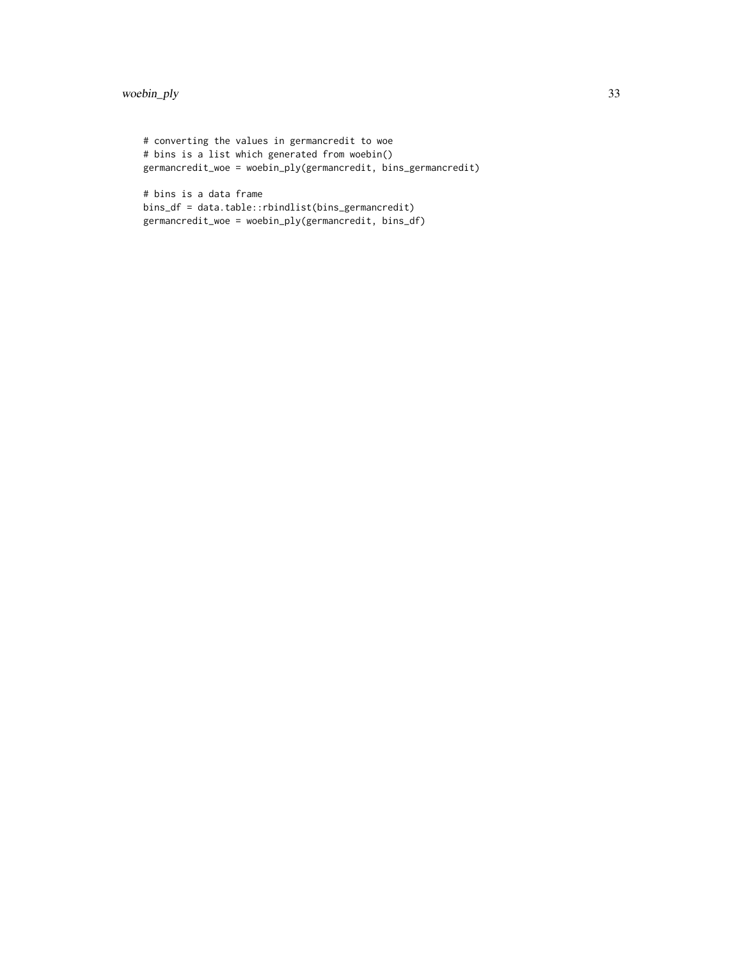```
# converting the values in germancredit to woe
# bins is a list which generated from woebin()
germancredit_woe = woebin_ply(germancredit, bins_germancredit)
# bins is a data frame
```

```
bins_df = data.table::rbindlist(bins_germancredit)
germancredit_woe = woebin_ply(germancredit, bins_df)
```